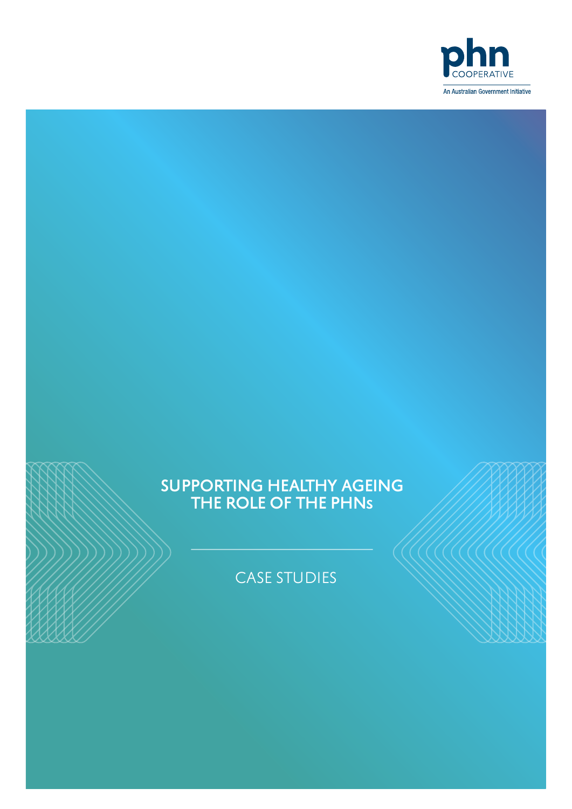

# SUPPORTING HEALTHY AGEING THE ROLE OF THE PHNs

CASE STUDIES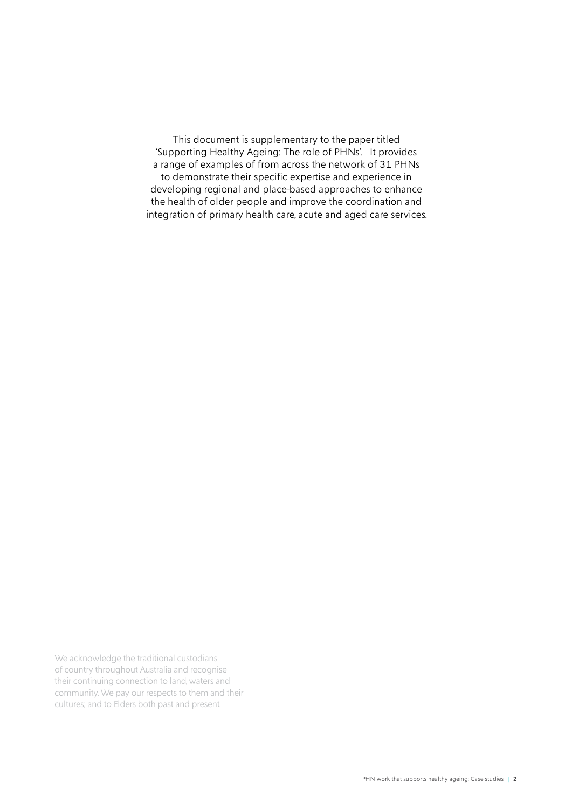This document is supplementary to the paper titled 'Supporting Healthy Ageing: The role of PHNs'. It provides a range of examples of from across the network of 31 PHNs to demonstrate their specific expertise and experience in developing regional and place-based approaches to enhance the health of older people and improve the coordination and integration of primary health care, acute and aged care services.

We acknowledge the traditional custodians of country throughout Australia and recognise their continuing connection to land, waters and community. We pay our respects to them and their cultures; and to Elders both past and present.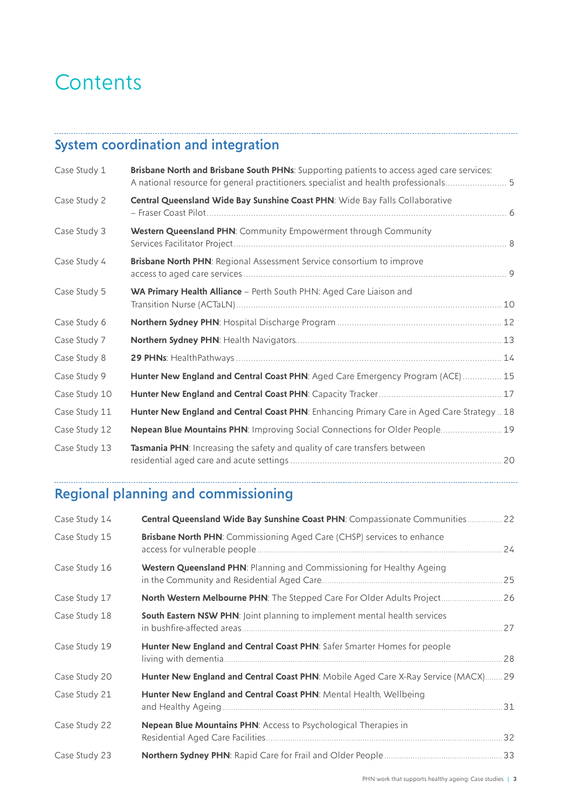# **Contents**

# System coordination and integration

| Case Study 1  | Brisbane North and Brisbane South PHNs: Supporting patients to access aged care services:<br>A national resource for general practitioners, specialist and health professionals 5 |  |
|---------------|-----------------------------------------------------------------------------------------------------------------------------------------------------------------------------------|--|
| Case Study 2  | Central Queensland Wide Bay Sunshine Coast PHN: Wide Bay Falls Collaborative                                                                                                      |  |
| Case Study 3  | Western Queensland PHN: Community Empowerment through Community                                                                                                                   |  |
| Case Study 4  | <b>Brisbane North PHN: Regional Assessment Service consortium to improve</b>                                                                                                      |  |
| Case Study 5  | WA Primary Health Alliance - Perth South PHN: Aged Care Liaison and                                                                                                               |  |
| Case Study 6  |                                                                                                                                                                                   |  |
| Case Study 7  |                                                                                                                                                                                   |  |
| Case Study 8  |                                                                                                                                                                                   |  |
| Case Study 9  | Hunter New England and Central Coast PHN: Aged Care Emergency Program (ACE) 15                                                                                                    |  |
| Case Study 10 |                                                                                                                                                                                   |  |
| Case Study 11 | Hunter New England and Central Coast PHN: Enhancing Primary Care in Aged Care Strategy  18                                                                                        |  |
| Case Study 12 | Nepean Blue Mountains PHN: Improving Social Connections for Older People 19                                                                                                       |  |
| Case Study 13 | Tasmania PHN: Increasing the safety and quality of care transfers between                                                                                                         |  |

# Regional planning and commissioning

| Case Study 14 | Central Queensland Wide Bay Sunshine Coast PHN: Compassionate Communities 22       |     |
|---------------|------------------------------------------------------------------------------------|-----|
| Case Study 15 | <b>Brisbane North PHN:</b> Commissioning Aged Care (CHSP) services to enhance      | 24  |
| Case Study 16 | Western Queensland PHN: Planning and Commissioning for Healthy Ageing              | .25 |
| Case Study 17 | North Western Melbourne PHN: The Stepped Care For Older Adults Project 26          |     |
| Case Study 18 | South Eastern NSW PHN: Joint planning to implement mental health services          |     |
| Case Study 19 | Hunter New England and Central Coast PHN: Safer Smarter Homes for people           | 28  |
| Case Study 20 | Hunter New England and Central Coast PHN: Mobile Aged Care X-Ray Service (MACX) 29 |     |
| Case Study 21 | Hunter New England and Central Coast PHN: Mental Health, Wellbeing                 | .31 |
| Case Study 22 | Nepean Blue Mountains PHN: Access to Psychological Therapies in                    | .32 |
| Case Study 23 |                                                                                    |     |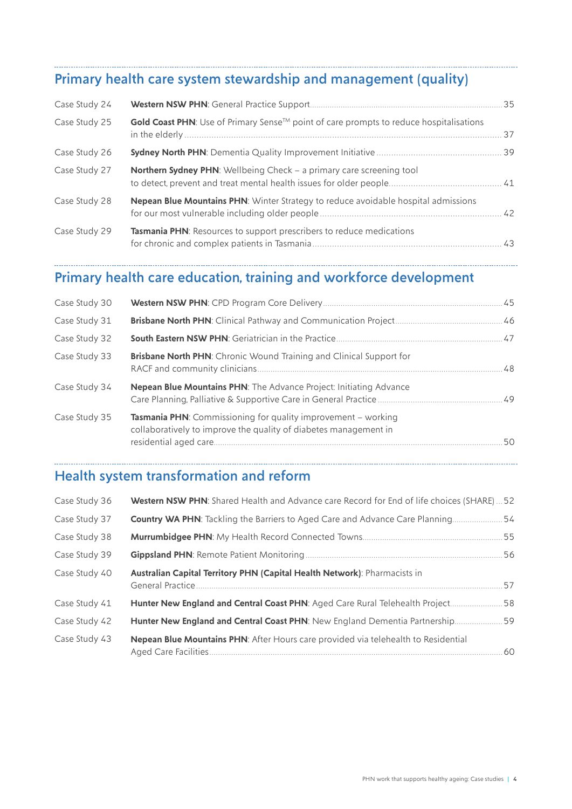# Primary health care system stewardship and management (quality)

| Case Study 24 |                                                                                        |  |
|---------------|----------------------------------------------------------------------------------------|--|
| Case Study 25 | Gold Coast PHN: Use of Primary Sense™ point of care prompts to reduce hospitalisations |  |
| Case Study 26 |                                                                                        |  |
| Case Study 27 | Northern Sydney PHN: Wellbeing Check - a primary care screening tool                   |  |
| Case Study 28 | Nepean Blue Mountains PHN: Winter Strategy to reduce avoidable hospital admissions     |  |
| Case Study 29 | Tasmania PHN: Resources to support prescribers to reduce medications                   |  |

# Primary health care education, training and workforce development

| <b>Brisbane North PHN:</b> Chronic Wound Training and Clinical Support for                                                               |    |
|------------------------------------------------------------------------------------------------------------------------------------------|----|
| Nepean Blue Mountains PHN: The Advance Project: Initiating Advance                                                                       |    |
| <b>Tasmania PHN:</b> Commissioning for quality improvement – working<br>collaboratively to improve the quality of diabetes management in | 50 |
|                                                                                                                                          |    |

# Health system transformation and reform

| Case Study 36 | Western NSW PHN: Shared Health and Advance care Record for End of life choices (SHARE)52      |    |
|---------------|-----------------------------------------------------------------------------------------------|----|
| Case Study 37 | Country WA PHN: Tackling the Barriers to Aged Care and Advance Care Planning 54               |    |
| Case Study 38 |                                                                                               |    |
| Case Study 39 |                                                                                               | 56 |
| Case Study 40 | Australian Capital Territory PHN (Capital Health Network): Pharmacists in<br>General Practice | 57 |
| Case Study 41 | Hunter New England and Central Coast PHN: Aged Care Rural Telehealth Project 58               |    |
| Case Study 42 | Hunter New England and Central Coast PHN: New England Dementia Partnership 59                 |    |
| Case Study 43 | Nepean Blue Mountains PHN: After Hours care provided via telehealth to Residential            |    |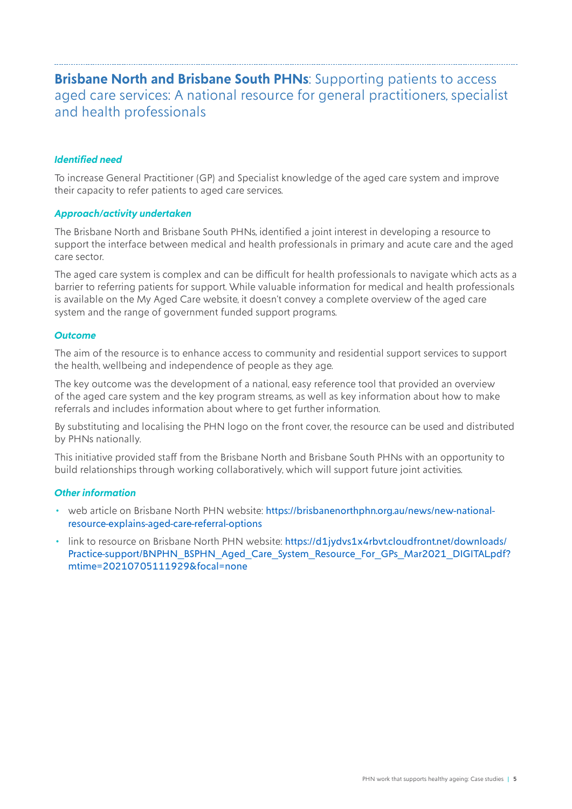## <span id="page-4-0"></span>**Brisbane North and Brisbane South PHNs:** Supporting patients to access aged care services: A national resource for general practitioners, specialist and health professionals

#### *Identified need*

To increase General Practitioner (GP) and Specialist knowledge of the aged care system and improve their capacity to refer patients to aged care services.

#### *Approach/activity undertaken*

The Brisbane North and Brisbane South PHNs, identified a joint interest in developing a resource to support the interface between medical and health professionals in primary and acute care and the aged care sector.

The aged care system is complex and can be difficult for health professionals to navigate which acts as a barrier to referring patients for support. While valuable information for medical and health professionals is available on the My Aged Care website, it doesn't convey a complete overview of the aged care system and the range of government funded support programs.

#### *Outcome*

The aim of the resource is to enhance access to community and residential support services to support the health, wellbeing and independence of people as they age.

The key outcome was the development of a national, easy reference tool that provided an overview of the aged care system and the key program streams, as well as key information about how to make referrals and includes information about where to get further information.

By substituting and localising the PHN logo on the front cover, the resource can be used and distributed by PHNs nationally.

This initiative provided staff from the Brisbane North and Brisbane South PHNs with an opportunity to build relationships through working collaboratively, which will support future joint activities.

#### *Other information*

- web article on Brisbane North PHN website: [https://brisbanenorthphn.org.au/news/new-national](https://brisbanenorthphn.org.au/news/new-national-resource-explains-aged-care-referral-options)[resource-explains-aged-care-referral-options](https://brisbanenorthphn.org.au/news/new-national-resource-explains-aged-care-referral-options)
- link to resource on Brisbane North PHN website: [https://d1jydvs1x4rbvt.cloudfront.net/downloads/](https://d1jydvs1x4rbvt.cloudfront.net/downloads/Practice-support/BNPHN_BSPHN_Aged_Care_System_Resource_For_GPs_Mar2021_DIGITAL.pdf?mtime=20210705111929&focal=none) [Practice-support/BNPHN\\_BSPHN\\_Aged\\_Care\\_System\\_Resource\\_For\\_GPs\\_Mar2021\\_DIGITAL.pdf?](https://d1jydvs1x4rbvt.cloudfront.net/downloads/Practice-support/BNPHN_BSPHN_Aged_Care_System_Resource_For_GPs_Mar2021_DIGITAL.pdf?mtime=20210705111929&focal=none) [mtime=20210705111929&focal=none](https://d1jydvs1x4rbvt.cloudfront.net/downloads/Practice-support/BNPHN_BSPHN_Aged_Care_System_Resource_For_GPs_Mar2021_DIGITAL.pdf?mtime=20210705111929&focal=none)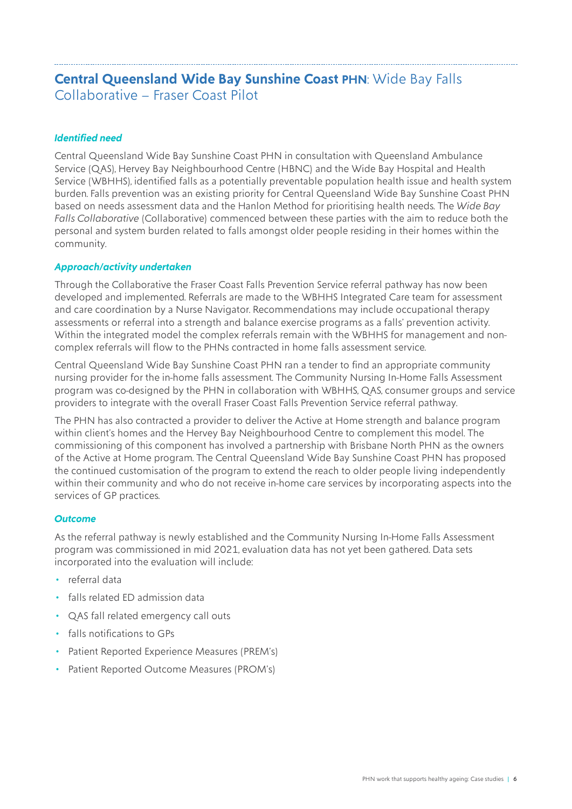### <span id="page-5-0"></span>**Central Queensland Wide Bay Sunshine Coast PHN**: Wide Bay Falls Collaborative – Fraser Coast Pilot

#### *Identified need*

Central Queensland Wide Bay Sunshine Coast PHN in consultation with Queensland Ambulance Service (QAS), Hervey Bay Neighbourhood Centre (HBNC) and the Wide Bay Hospital and Health Service (WBHHS), identified falls as a potentially preventable population health issue and health system burden. Falls prevention was an existing priority for Central Queensland Wide Bay Sunshine Coast PHN based on needs assessment data and the Hanlon Method for prioritising health needs. The *Wide Bay Falls Collaborative* (Collaborative) commenced between these parties with the aim to reduce both the personal and system burden related to falls amongst older people residing in their homes within the community.

#### *Approach/activity undertaken*

Through the Collaborative the Fraser Coast Falls Prevention Service referral pathway has now been developed and implemented. Referrals are made to the WBHHS Integrated Care team for assessment and care coordination by a Nurse Navigator. Recommendations may include occupational therapy assessments or referral into a strength and balance exercise programs as a falls' prevention activity. Within the integrated model the complex referrals remain with the WBHHS for management and noncomplex referrals will flow to the PHNs contracted in home falls assessment service.

Central Queensland Wide Bay Sunshine Coast PHN ran a tender to find an appropriate community nursing provider for the in-home falls assessment. The Community Nursing In-Home Falls Assessment program was co-designed by the PHN in collaboration with WBHHS, QAS, consumer groups and service providers to integrate with the overall Fraser Coast Falls Prevention Service referral pathway.

The PHN has also contracted a provider to deliver the Active at Home strength and balance program within client's homes and the Hervey Bay Neighbourhood Centre to complement this model. The commissioning of this component has involved a partnership with Brisbane North PHN as the owners of the Active at Home program. The Central Queensland Wide Bay Sunshine Coast PHN has proposed the continued customisation of the program to extend the reach to older people living independently within their community and who do not receive in-home care services by incorporating aspects into the services of GP practices.

#### *Outcome*

As the referral pathway is newly established and the Community Nursing In-Home Falls Assessment program was commissioned in mid 2021, evaluation data has not yet been gathered. Data sets incorporated into the evaluation will include:

- referral data
- falls related ED admission data
- QAS fall related emergency call outs
- falls notifications to GPs
- Patient Reported Experience Measures (PREM's)
- Patient Reported Outcome Measures (PROM's)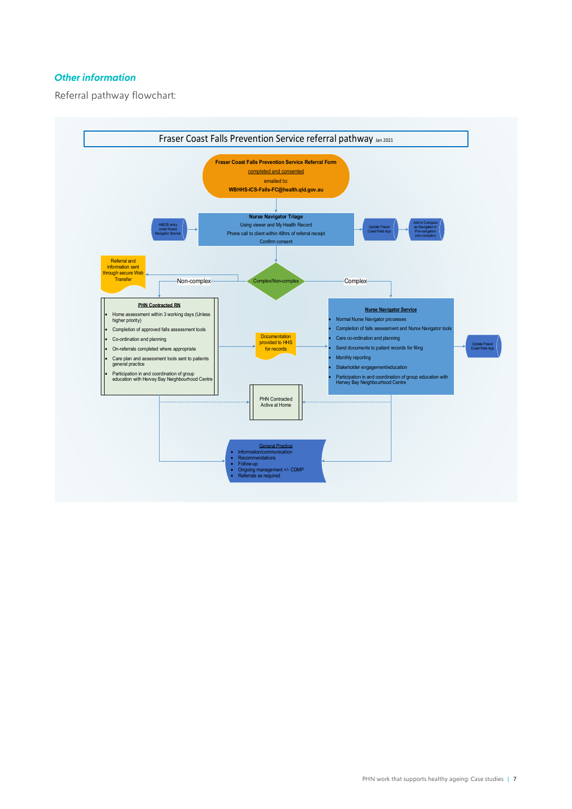#### *Other information*

Referral pathway flowchart:

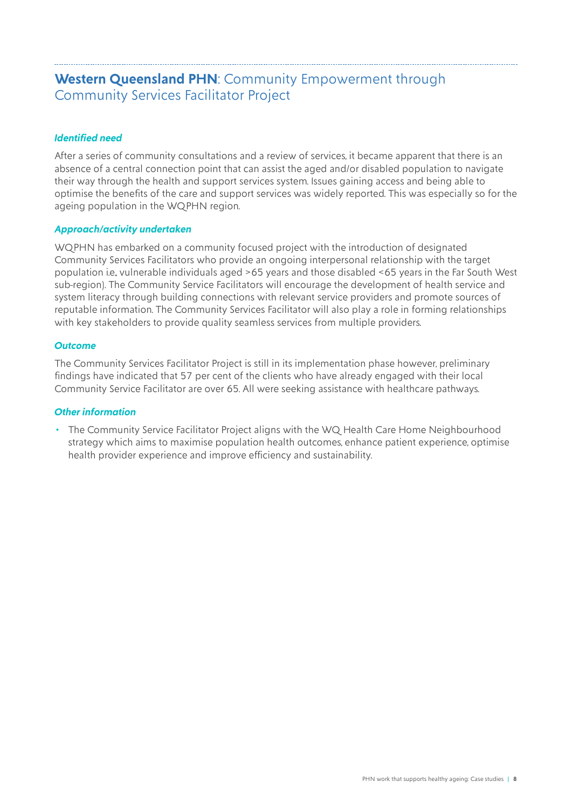# <span id="page-7-0"></span>**Western Queensland PHN**: Community Empowerment through Community Services Facilitator Project

#### *Identified need*

After a series of community consultations and a review of services, it became apparent that there is an absence of a central connection point that can assist the aged and/or disabled population to navigate their way through the health and support services system. Issues gaining access and being able to optimise the benefits of the care and support services was widely reported. This was especially so for the ageing population in the WQPHN region.

#### *Approach/activity undertaken*

WQPHN has embarked on a community focused project with the introduction of designated Community Services Facilitators who provide an ongoing interpersonal relationship with the target population i.e., vulnerable individuals aged >65 years and those disabled <65 years in the Far South West sub-region). The Community Service Facilitators will encourage the development of health service and system literacy through building connections with relevant service providers and promote sources of reputable information. The Community Services Facilitator will also play a role in forming relationships with key stakeholders to provide quality seamless services from multiple providers.

#### *Outcome*

The Community Services Facilitator Project is still in its implementation phase however, preliminary findings have indicated that 57 per cent of the clients who have already engaged with their local Community Service Facilitator are over 65. All were seeking assistance with healthcare pathways.

#### *Other information*

• The Community Service Facilitator Project aligns with the WQ Health Care Home Neighbourhood strategy which aims to maximise population health outcomes, enhance patient experience, optimise health provider experience and improve efficiency and sustainability.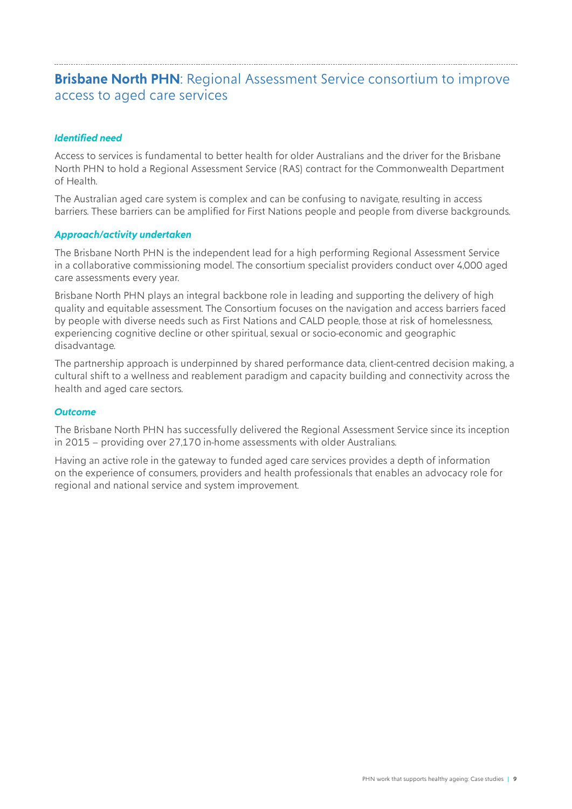### <span id="page-8-0"></span>**Brisbane North PHN:** Regional Assessment Service consortium to improve access to aged care services

#### *Identified need*

Access to services is fundamental to better health for older Australians and the driver for the Brisbane North PHN to hold a Regional Assessment Service (RAS) contract for the Commonwealth Department of Health.

The Australian aged care system is complex and can be confusing to navigate, resulting in access barriers. These barriers can be amplified for First Nations people and people from diverse backgrounds.

#### *Approach/activity undertaken*

The Brisbane North PHN is the independent lead for a high performing Regional Assessment Service in a collaborative commissioning model. The consortium specialist providers conduct over 4,000 aged care assessments every year.

Brisbane North PHN plays an integral backbone role in leading and supporting the delivery of high quality and equitable assessment. The Consortium focuses on the navigation and access barriers faced by people with diverse needs such as First Nations and CALD people, those at risk of homelessness, experiencing cognitive decline or other spiritual, sexual or socio-economic and geographic disadvantage.

The partnership approach is underpinned by shared performance data, client-centred decision making, a cultural shift to a wellness and reablement paradigm and capacity building and connectivity across the health and aged care sectors.

#### *Outcome*

The Brisbane North PHN has successfully delivered the Regional Assessment Service since its inception in 2015 – providing over 27,170 in-home assessments with older Australians.

Having an active role in the gateway to funded aged care services provides a depth of information on the experience of consumers, providers and health professionals that enables an advocacy role for regional and national service and system improvement.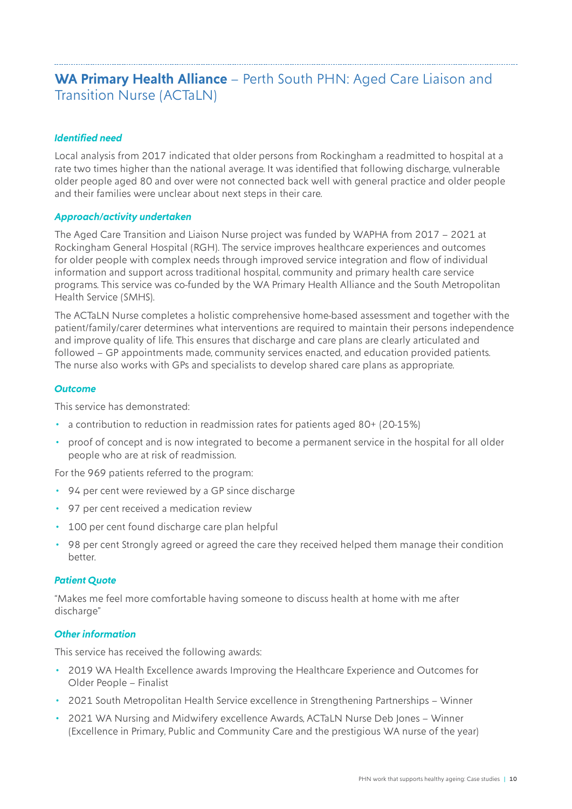# <span id="page-9-0"></span>**WA Primary Health Alliance** – Perth South PHN: Aged Care Liaison and Transition Nurse (ACTaLN)

#### *Identified need*

Local analysis from 2017 indicated that older persons from Rockingham a readmitted to hospital at a rate two times higher than the national average. It was identified that following discharge, vulnerable older people aged 80 and over were not connected back well with general practice and older people and their families were unclear about next steps in their care.

#### *Approach/activity undertaken*

The Aged Care Transition and Liaison Nurse project was funded by WAPHA from 2017 – 2021 at Rockingham General Hospital (RGH). The service improves healthcare experiences and outcomes for older people with complex needs through improved service integration and flow of individual information and support across traditional hospital, community and primary health care service programs. This service was co-funded by the WA Primary Health Alliance and the South Metropolitan Health Service (SMHS).

The ACTaLN Nurse completes a holistic comprehensive home-based assessment and together with the patient/family/carer determines what interventions are required to maintain their persons independence and improve quality of life. This ensures that discharge and care plans are clearly articulated and followed – GP appointments made, community services enacted, and education provided patients. The nurse also works with GPs and specialists to develop shared care plans as appropriate.

#### *Outcome*

This service has demonstrated:

- a contribution to reduction in readmission rates for patients aged 80+ (20-15%)
- proof of concept and is now integrated to become a permanent service in the hospital for all older people who are at risk of readmission.

For the 969 patients referred to the program:

- 94 per cent were reviewed by a GP since discharge
- 97 per cent received a medication review
- 100 per cent found discharge care plan helpful
- 98 per cent Strongly agreed or agreed the care they received helped them manage their condition better.

#### *Patient Quote*

"Makes me feel more comfortable having someone to discuss health at home with me after discharge"

#### *Other information*

This service has received the following awards:

- 2019 WA Health Excellence awards Improving the Healthcare Experience and Outcomes for Older People – Finalist
- 2021 South Metropolitan Health Service excellence in Strengthening Partnerships Winner
- 2021 WA Nursing and Midwifery excellence Awards, ACTaLN Nurse Deb Jones Winner (Excellence in Primary, Public and Community Care and the prestigious WA nurse of the year)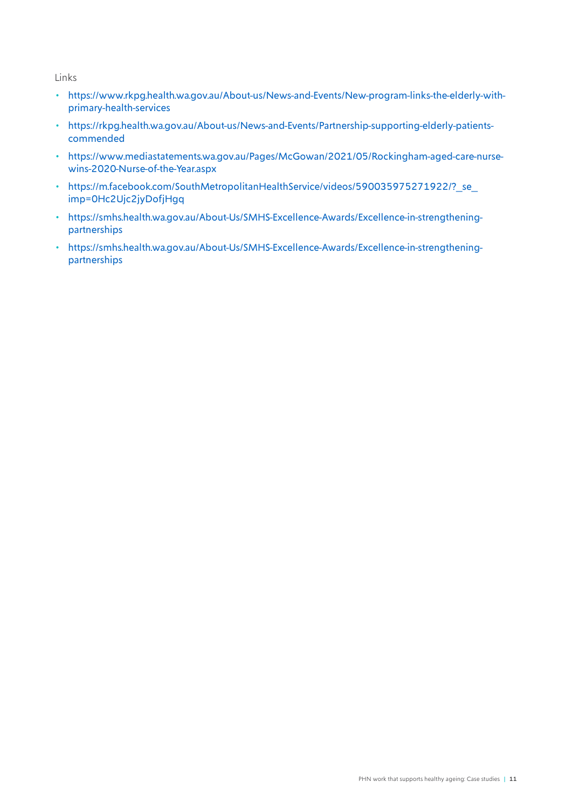Links

- [https://www.rkpg.health.wa.gov.au/About-us/News-and-Events/New-program-links-the-elderly-with](https://www.rkpg.health.wa.gov.au/About-us/News-and-Events/New-program-links-the-elderly-with-primary-health-services)[primary-health-services](https://www.rkpg.health.wa.gov.au/About-us/News-and-Events/New-program-links-the-elderly-with-primary-health-services)
- [https://rkpg.health.wa.gov.au/About-us/News-and-Events/Partnership-supporting-elderly-patients](https://rkpg.health.wa.gov.au/About-us/News-and-Events/Partnership-supporting-elderly-patients-commended)[commended](https://rkpg.health.wa.gov.au/About-us/News-and-Events/Partnership-supporting-elderly-patients-commended)
- [https://www.mediastatements.wa.gov.au/Pages/McGowan/2021/05/Rockingham-aged-care-nurse](https://www.mediastatements.wa.gov.au/Pages/McGowan/2021/05/Rockingham-aged-care-nurse-wins-2020-Nurse-of-the-Year.aspx)[wins-2020-Nurse-of-the-Year.aspx](https://www.mediastatements.wa.gov.au/Pages/McGowan/2021/05/Rockingham-aged-care-nurse-wins-2020-Nurse-of-the-Year.aspx)
- https://m.facebook.com/SouthMetropolitanHealthService/videos/590035975271922/? se [imp=0Hc2Ujc2jyDofjHgq](https://m.facebook.com/SouthMetropolitanHealthService/videos/590035975271922/?_se_imp=0Hc2Ujc2jyDofjHgq)
- [https://smhs.health.wa.gov.au/About-Us/SMHS-Excellence-Awards/Excellence-in-strengthening](https://smhs.health.wa.gov.au/About-Us/SMHS-Excellence-Awards/Excellence-in-strengthening-partnerships)[partnerships](https://smhs.health.wa.gov.au/About-Us/SMHS-Excellence-Awards/Excellence-in-strengthening-partnerships)
- [https://smhs.health.wa.gov.au/About-Us/SMHS-Excellence-Awards/Excellence-in-strengthening](https://smhs.health.wa.gov.au/About-Us/SMHS-Excellence-Awards/Excellence-in-strengthening-partnerships)[partnerships](https://smhs.health.wa.gov.au/About-Us/SMHS-Excellence-Awards/Excellence-in-strengthening-partnerships)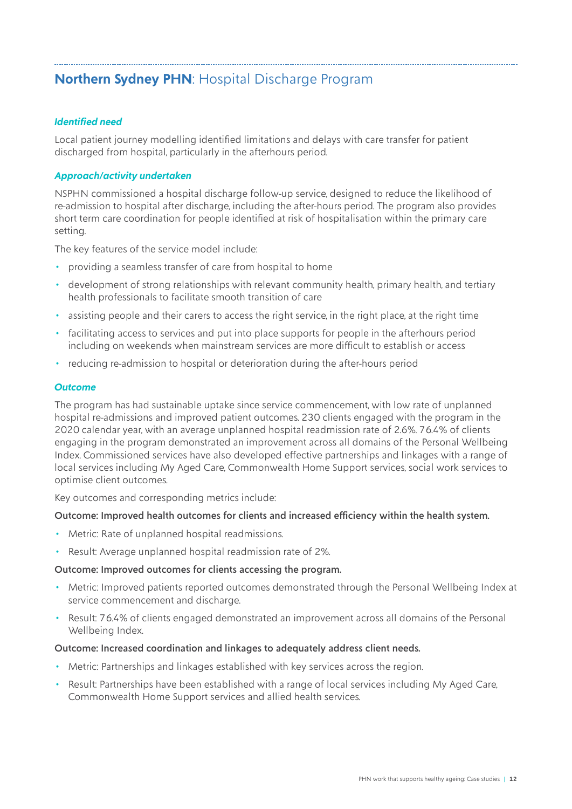# <span id="page-11-0"></span>**Northern Sydney PHN**: Hospital Discharge Program

#### *Identified need*

Local patient journey modelling identified limitations and delays with care transfer for patient discharged from hospital, particularly in the afterhours period.

#### *Approach/activity undertaken*

NSPHN commissioned a hospital discharge follow-up service, designed to reduce the likelihood of re-admission to hospital after discharge, including the after-hours period. The program also provides short term care coordination for people identified at risk of hospitalisation within the primary care setting.

The key features of the service model include:

- providing a seamless transfer of care from hospital to home
- development of strong relationships with relevant community health, primary health, and tertiary health professionals to facilitate smooth transition of care
- assisting people and their carers to access the right service, in the right place, at the right time
- facilitating access to services and put into place supports for people in the afterhours period including on weekends when mainstream services are more difficult to establish or access
- reducing re-admission to hospital or deterioration during the after-hours period

#### *Outcome*

The program has had sustainable uptake since service commencement, with low rate of unplanned hospital re-admissions and improved patient outcomes. 230 clients engaged with the program in the 2020 calendar year, with an average unplanned hospital readmission rate of 2.6%. 76.4% of clients engaging in the program demonstrated an improvement across all domains of the Personal Wellbeing Index. Commissioned services have also developed effective partnerships and linkages with a range of local services including My Aged Care, Commonwealth Home Support services, social work services to optimise client outcomes.

Key outcomes and corresponding metrics include:

#### Outcome: Improved health outcomes for clients and increased efficiency within the health system.

- Metric: Rate of unplanned hospital readmissions.
- Result: Average unplanned hospital readmission rate of 2%.

#### Outcome: Improved outcomes for clients accessing the program.

- Metric: Improved patients reported outcomes demonstrated through the Personal Wellbeing Index at service commencement and discharge.
- Result: 76.4% of clients engaged demonstrated an improvement across all domains of the Personal Wellbeing Index.

#### Outcome: Increased coordination and linkages to adequately address client needs.

- Metric: Partnerships and linkages established with key services across the region.
- Result: Partnerships have been established with a range of local services including My Aged Care, Commonwealth Home Support services and allied health services.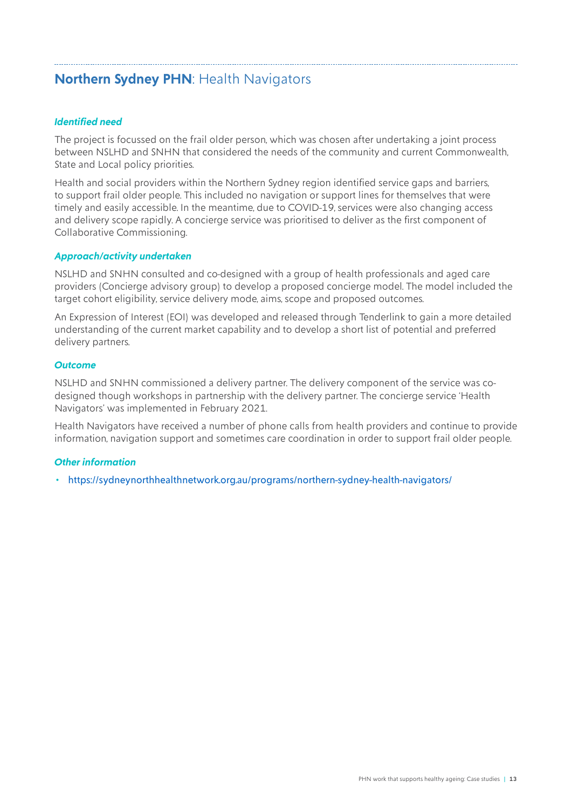# <span id="page-12-0"></span>**Northern Sydney PHN**: Health Navigators

#### *Identified need*

The project is focussed on the frail older person, which was chosen after undertaking a joint process between NSLHD and SNHN that considered the needs of the community and current Commonwealth, State and Local policy priorities.

Health and social providers within the Northern Sydney region identified service gaps and barriers, to support frail older people. This included no navigation or support lines for themselves that were timely and easily accessible. In the meantime, due to COVID-19, services were also changing access and delivery scope rapidly. A concierge service was prioritised to deliver as the first component of Collaborative Commissioning.

#### *Approach/activity undertaken*

NSLHD and SNHN consulted and co-designed with a group of health professionals and aged care providers (Concierge advisory group) to develop a proposed concierge model. The model included the target cohort eligibility, service delivery mode, aims, scope and proposed outcomes.

An Expression of Interest (EOI) was developed and released through Tenderlink to gain a more detailed understanding of the current market capability and to develop a short list of potential and preferred delivery partners.

#### *Outcome*

NSLHD and SNHN commissioned a delivery partner. The delivery component of the service was codesigned though workshops in partnership with the delivery partner. The concierge service 'Health Navigators' was implemented in February 2021.

Health Navigators have received a number of phone calls from health providers and continue to provide information, navigation support and sometimes care coordination in order to support frail older people.

#### *Other information*

• <https://sydneynorthhealthnetwork.org.au/programs/northern-sydney-health-navigators/>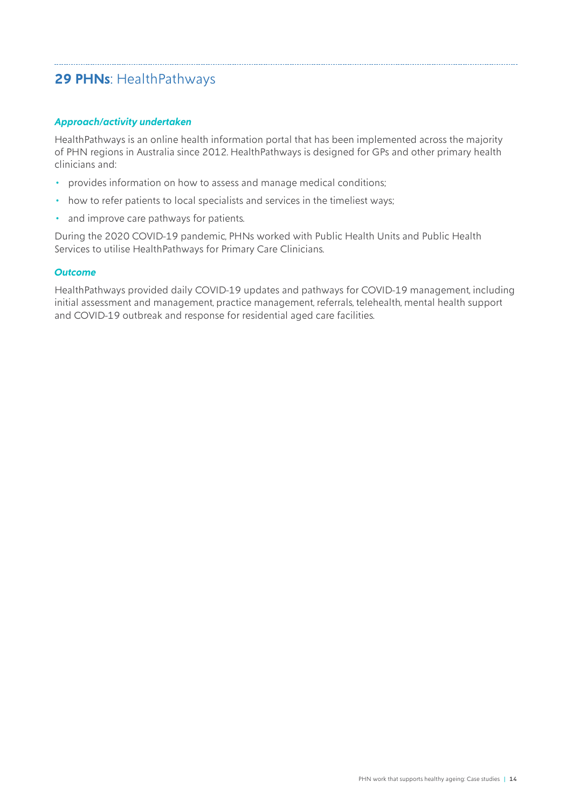# <span id="page-13-0"></span>**29 PHNs**: HealthPathways

#### *Approach/activity undertaken*

HealthPathways is an online health information portal that has been implemented across the majority of PHN regions in Australia since 2012. HealthPathways is designed for GPs and other primary health clinicians and:

- provides information on how to assess and manage medical conditions;
- how to refer patients to local specialists and services in the timeliest ways;
- and improve care pathways for patients.

During the 2020 COVID-19 pandemic, PHNs worked with Public Health Units and Public Health Services to utilise HealthPathways for Primary Care Clinicians.

#### *Outcome*

HealthPathways provided daily COVID-19 updates and pathways for COVID-19 management, including initial assessment and management, practice management, referrals, telehealth, mental health support and COVID-19 outbreak and response for residential aged care facilities.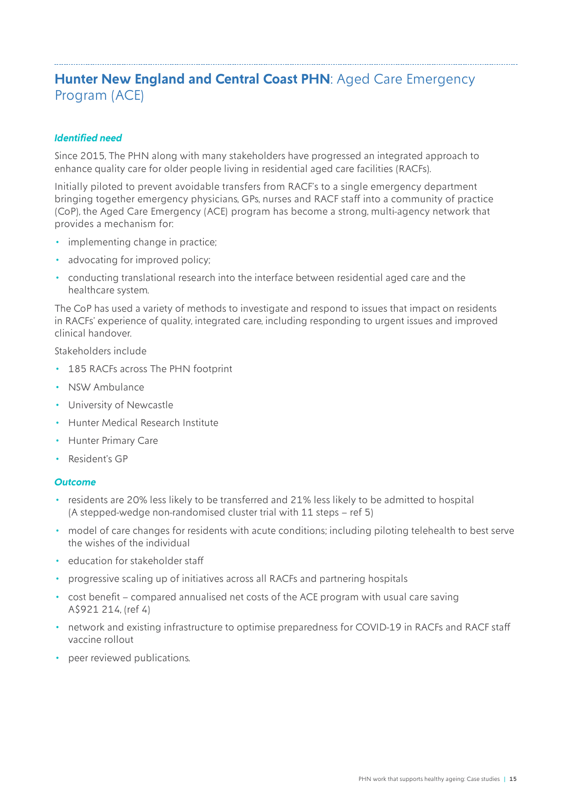# <span id="page-14-0"></span>**Hunter New England and Central Coast PHN: Aged Care Emergency** Program (ACE)

#### *Identified need*

Since 2015, The PHN along with many stakeholders have progressed an integrated approach to enhance quality care for older people living in residential aged care facilities (RACFs).

Initially piloted to prevent avoidable transfers from RACF's to a single emergency department bringing together emergency physicians, GPs, nurses and RACF staff into a community of practice (CoP), the Aged Care Emergency (ACE) program has become a strong, multi-agency network that provides a mechanism for:

- implementing change in practice;
- advocating for improved policy;
- conducting translational research into the interface between residential aged care and the healthcare system.

The CoP has used a variety of methods to investigate and respond to issues that impact on residents in RACFs' experience of quality, integrated care, including responding to urgent issues and improved clinical handover.

Stakeholders include

- 185 RACFs across The PHN footprint
- NSW Ambulance
- University of Newcastle
- Hunter Medical Research Institute
- Hunter Primary Care
- Resident's GP

#### *Outcome*

- residents are 20% less likely to be transferred and 21% less likely to be admitted to hospital (A stepped-wedge non-randomised cluster trial with 11 steps – ref 5)
- model of care changes for residents with acute conditions; including piloting telehealth to best serve the wishes of the individual
- education for stakeholder staff
- progressive scaling up of initiatives across all RACFs and partnering hospitals
- cost benefit compared annualised net costs of the ACE program with usual care saving A\$921 214, (ref 4)
- network and existing infrastructure to optimise preparedness for COVID-19 in RACFs and RACF staff vaccine rollout
- peer reviewed publications.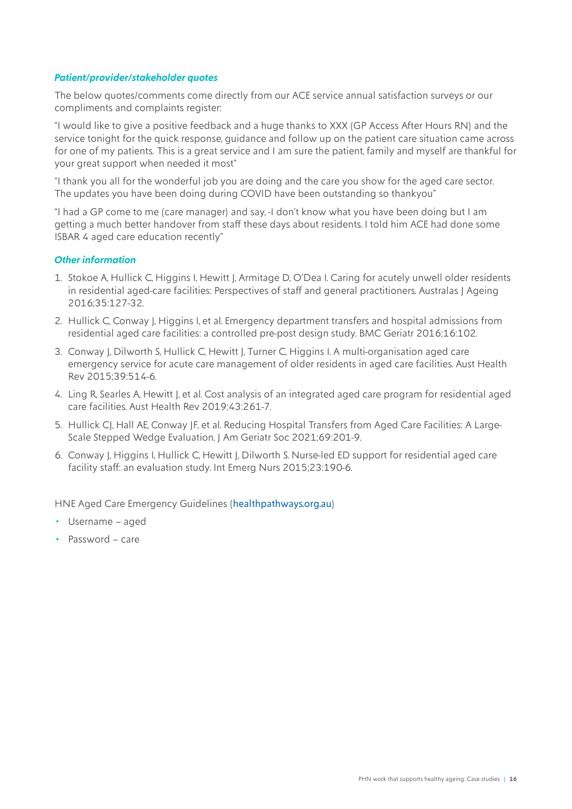#### *Patient/provider/stakeholder quotes*

The below quotes/comments come directly from our ACE service annual satisfaction surveys or our compliments and complaints register:

"I would like to give a positive feedback and a huge thanks to XXX (GP Access After Hours RN) and the service tonight for the quick response, guidance and follow up on the patient care situation came across for one of my patients. This is a great service and I am sure the patient, family and myself are thankful for your great support when needed it most"

"I thank you all for the wonderful job you are doing and the care you show for the aged care sector. The updates you have been doing during COVID have been outstanding so thankyou"

"I had a GP come to me (care manager) and say, -I don't know what you have been doing but I am getting a much better handover from staff these days about residents. I told him ACE had done some ISBAR 4 aged care education recently"

#### *Other information*

- 1. Stokoe A, Hullick C, Higgins I, Hewitt J, Armitage D, O'Dea I. Caring for acutely unwell older residents in residential aged-care facilities: Perspectives of staff and general practitioners. Australas J Ageing 2016;35:127-32.
- 2. Hullick C, Conway J, Higgins I, et al. Emergency department transfers and hospital admissions from residential aged care facilities: a controlled pre-post design study. BMC Geriatr 2016;16:102.
- 3. Conway J, Dilworth S, Hullick C, Hewitt J, Turner C, Higgins I. A multi-organisation aged care emergency service for acute care management of older residents in aged care facilities. Aust Health Rev 2015;39:514-6.
- 4. Ling R, Searles A, Hewitt J, et al. Cost analysis of an integrated aged care program for residential aged care facilities. Aust Health Rev 2019;43:261-7.
- 5. Hullick CJ, Hall AE, Conway JF, et al. Reducing Hospital Transfers from Aged Care Facilities: A Large-Scale Stepped Wedge Evaluation. J Am Geriatr Soc 2021;69:201-9.
- 6. Conway J, Higgins I, Hullick C, Hewitt J, Dilworth S. Nurse-led ED support for residential aged care facility staff: an evaluation study. Int Emerg Nurs 2015;23:190-6.

[HNE Aged Care Emergency Guidelines \(](https://ace.healthpathways.org.au/LoginFiles/Logon.aspx?ReturnUrl=%2f)healthpathways.org.au)

- Username aged
- Password care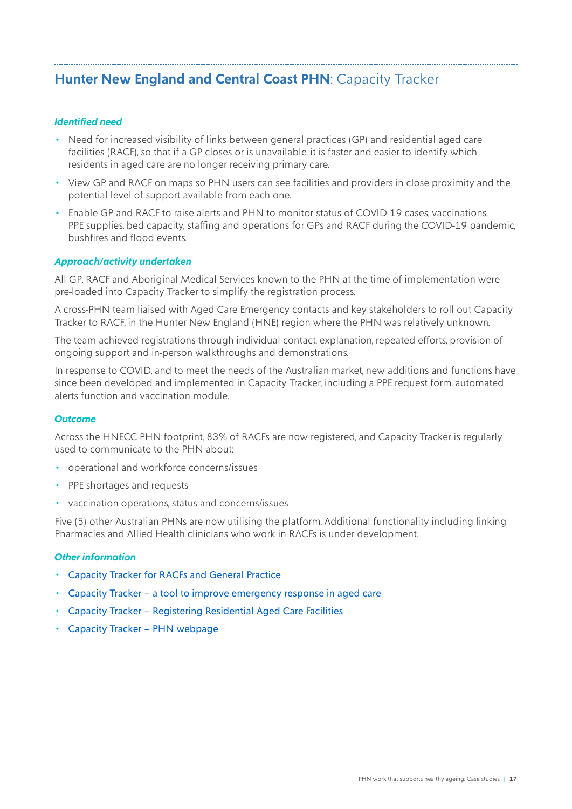# <span id="page-16-0"></span>**Hunter New England and Central Coast PHN**: Capacity Tracker

#### *Identified need*

- Need for increased visibility of links between general practices (GP) and residential aged care facilities (RACF), so that if a GP closes or is unavailable, it is faster and easier to identify which residents in aged care are no longer receiving primary care.
- View GP and RACF on maps so PHN users can see facilities and providers in close proximity and the potential level of support available from each one.
- Enable GP and RACF to raise alerts and PHN to monitor status of COVID-19 cases, vaccinations, PPE supplies, bed capacity, staffing and operations for GPs and RACF during the COVID-19 pandemic, bushfires and flood events.

#### *Approach/activity undertaken*

All GP, RACF and Aboriginal Medical Services known to the PHN at the time of implementation were pre-loaded into Capacity Tracker to simplify the registration process.

A cross-PHN team liaised with Aged Care Emergency contacts and key stakeholders to roll out Capacity Tracker to RACF, in the Hunter New England (HNE) region where the PHN was relatively unknown.

The team achieved registrations through individual contact, explanation, repeated efforts, provision of ongoing support and in-person walkthroughs and demonstrations.

In response to COVID, and to meet the needs of the Australian market, new additions and functions have since been developed and implemented in Capacity Tracker, including a PPE request form, automated alerts function and vaccination module.

#### *Outcome*

Across the HNECC PHN footprint, 83% of RACFs are now registered, and Capacity Tracker is regularly used to communicate to the PHN about:

- operational and workforce concerns/issues
- PPE shortages and requests
- vaccination operations, status and concerns/issues

Five (5) other Australian PHNs are now utilising the platform. Additional functionality including linking Pharmacies and Allied Health clinicians who work in RACFs is under development.

#### *Other information*

- [Capacity Tracker for RACFs and General Practice](https://www.youtube.com/watch?app=desktop&v=F1PBa1Fj21Q)
- [Capacity Tracker a tool to improve emergency response in aged care](https://www.youtube.com/watch?v=g29UcOlXRFY)
- [Capacity Tracker Registering Residential Aged Care Facilities](https://www.youtube.com/watch?v=kfOvgtsuowM)
- [Capacity Tracker PHN webpage](https://thephn.com.au/programs-resources/capacity-tracker)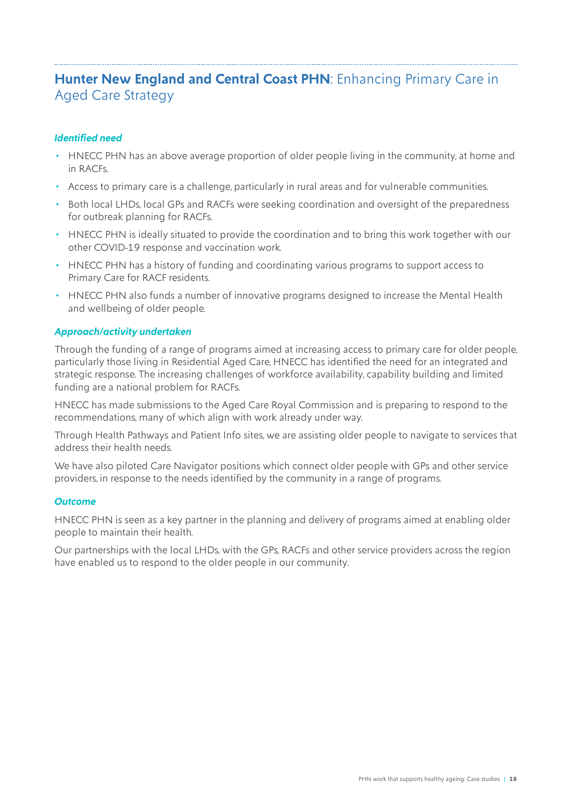# <span id="page-17-0"></span>**Hunter New England and Central Coast PHN: Enhancing Primary Care in** Aged Care Strategy

#### *Identified need*

- HNECC PHN has an above average proportion of older people living in the community, at home and in RACFs.
- Access to primary care is a challenge, particularly in rural areas and for vulnerable communities.
- Both local LHDs, local GPs and RACFs were seeking coordination and oversight of the preparedness for outbreak planning for RACFs.
- HNECC PHN is ideally situated to provide the coordination and to bring this work together with our other COVID-19 response and vaccination work.
- HNECC PHN has a history of funding and coordinating various programs to support access to Primary Care for RACF residents.
- HNECC PHN also funds a number of innovative programs designed to increase the Mental Health and wellbeing of older people.

#### *Approach/activity undertaken*

Through the funding of a range of programs aimed at increasing access to primary care for older people, particularly those living in Residential Aged Care, HNECC has identified the need for an integrated and strategic response. The increasing challenges of workforce availability, capability building and limited funding are a national problem for RACFs.

HNECC has made submissions to the Aged Care Royal Commission and is preparing to respond to the recommendations, many of which align with work already under way.

Through Health Pathways and Patient Info sites, we are assisting older people to navigate to services that address their health needs.

We have also piloted Care Navigator positions which connect older people with GPs and other service providers, in response to the needs identified by the community in a range of programs.

#### *Outcome*

HNECC PHN is seen as a key partner in the planning and delivery of programs aimed at enabling older people to maintain their health.

Our partnerships with the local LHDs, with the GPs, RACFs and other service providers across the region have enabled us to respond to the older people in our community.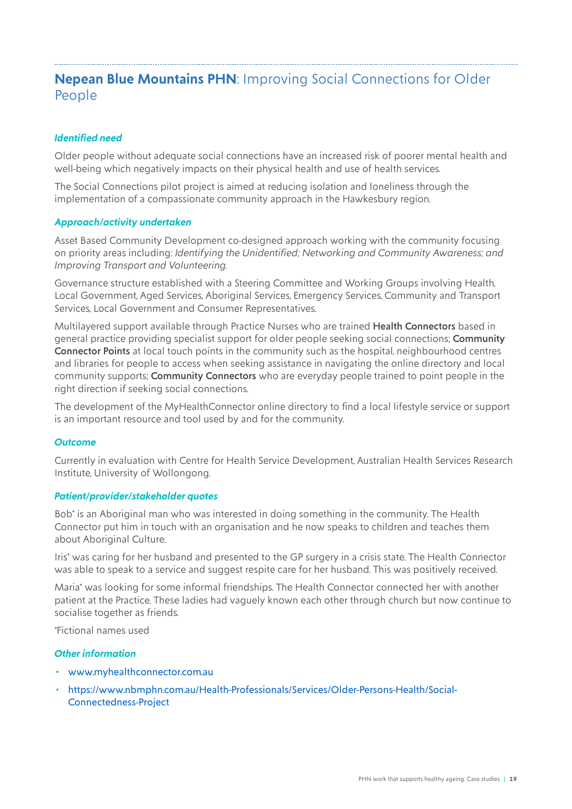# <span id="page-18-0"></span>**Nepean Blue Mountains PHN**: Improving Social Connections for Older People

#### *Identified need*

Older people without adequate social connections have an increased risk of poorer mental health and well-being which negatively impacts on their physical health and use of health services.

The Social Connections pilot project is aimed at reducing isolation and loneliness through the implementation of a compassionate community approach in the Hawkesbury region.

#### *Approach/activity undertaken*

Asset Based Community Development co-designed approach working with the community focusing on priority areas including: *Identifying the Unidentified; Networking and Community Awareness; and Improving Transport and Volunteering.*

Governance structure established with a Steering Committee and Working Groups involving Health, Local Government, Aged Services, Aboriginal Services, Emergency Services, Community and Transport Services, Local Government and Consumer Representatives.

Multilayered support available through Practice Nurses who are trained Health Connectors based in general practice providing specialist support for older people seeking social connections; Community Connector Points at local touch points in the community such as the hospital, neighbourhood centres and libraries for people to access when seeking assistance in navigating the online directory and local community supports; Community Connectors who are everyday people trained to point people in the right direction if seeking social connections.

The development of the [MyHealthConnector](https://myhealthconnector.com.au/) online directory to find a local lifestyle service or support is an important resource and tool used by and for the community.

#### *Outcome*

Currently in evaluation with Centre for Health Service Development, Australian Health Services Research Institute, University of Wollongong.

#### *Patient/provider/stakeholder quotes*

Bob\* is an Aboriginal man who was interested in doing something in the community. The Health Connector put him in touch with an organisation and he now speaks to children and teaches them about Aboriginal Culture.

Iris\* was caring for her husband and presented to the GP surgery in a crisis state. The Health Connector was able to speak to a service and suggest respite care for her husband. This was positively received.

Maria\* was looking for some informal friendships. The Health Connector connected her with another patient at the Practice. These ladies had vaguely known each other through church but now continue to socialise together as friends.

*\**Fictional names used

#### *Other information*

- [www.myhealthconnector.com.au](http://www.myhealthconnector.com.au)
- [https://www.nbmphn.com.au/Health-Professionals/Services/Older-Persons-Health/Social-](https://www.nbmphn.com.au/Health-Professionals/Services/Older-Persons-Health/Social-Connectedness-Project)[Connectedness-Project](https://www.nbmphn.com.au/Health-Professionals/Services/Older-Persons-Health/Social-Connectedness-Project)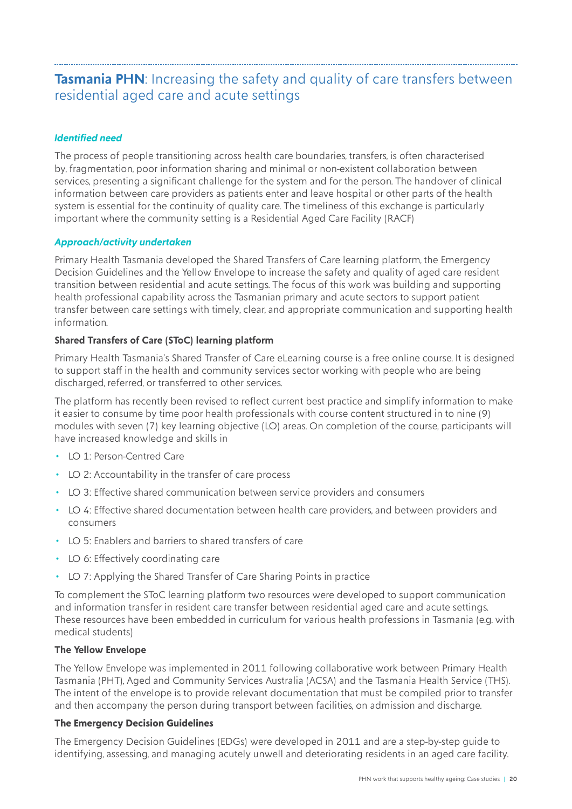### <span id="page-19-0"></span>**Tasmania PHN:** Increasing the safety and quality of care transfers between residential aged care and acute settings

#### *Identified need*

The process of people transitioning across health care boundaries, transfers, is often characterised by, fragmentation, poor information sharing and minimal or non-existent collaboration between services, presenting a significant challenge for the system and for the person. The handover of clinical information between care providers as patients enter and leave hospital or other parts of the health system is essential for the continuity of quality care. The timeliness of this exchange is particularly important where the community setting is a Residential Aged Care Facility (RACF)

#### *Approach/activity undertaken*

Primary Health Tasmania developed the Shared Transfers of Care learning platform, the Emergency Decision Guidelines and the Yellow Envelope to increase the safety and quality of aged care resident transition between residential and acute settings. The focus of this work was building and supporting health professional capability across the Tasmanian primary and acute sectors to support patient transfer between care settings with timely, clear, and appropriate communication and supporting health information.

#### **Shared Transfers of Care (SToC) learning platform**

Primary Health Tasmania's Shared Transfer of Care eLearning course is a free online course. It is designed to support staff in the health and community services sector working with people who are being discharged, referred, or transferred to other services.

The platform has recently been revised to reflect current best practice and simplify information to make it easier to consume by time poor health professionals with course content structured in to nine (9) modules with seven (7) key learning objective (LO) areas. On completion of the course, participants will have increased knowledge and skills in

- LO 1: Person-Centred Care
- LO 2: Accountability in the transfer of care process
- LO 3: Effective shared communication between service providers and consumers
- LO 4: Effective shared documentation between health care providers, and between providers and consumers
- LO 5: Enablers and barriers to shared transfers of care
- LO 6: Effectively coordinating care
- LO 7: Applying the Shared Transfer of Care Sharing Points in practice

To complement the SToC learning platform two resources were developed to support communication and information transfer in resident care transfer between residential aged care and acute settings. These resources have been embedded in curriculum for various health professions in Tasmania (e.g. with medical students)

#### **The Yellow Envelope**

The Yellow Envelope was implemented in 2011 following collaborative work between Primary Health Tasmania (PHT), Aged and Community Services Australia (ACSA) and the Tasmania Health Service (THS). The intent of the envelope is to provide relevant documentation that must be compiled prior to transfer and then accompany the person during transport between facilities, on admission and discharge.

#### **The Emergency Decision Guidelines**

The Emergency Decision Guidelines (EDGs) were developed in 2011 and are a step-by-step guide to identifying, assessing, and managing acutely unwell and deteriorating residents in an aged care facility.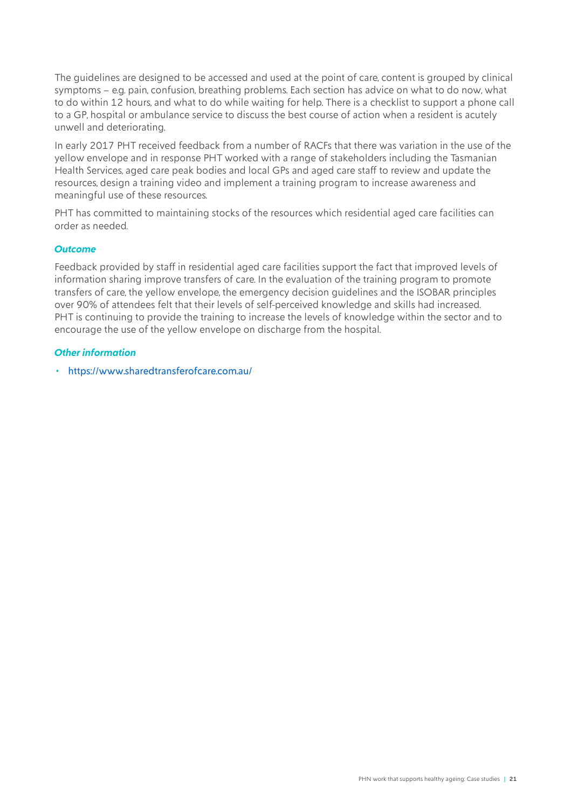The guidelines are designed to be accessed and used at the point of care, content is grouped by clinical symptoms – e.g. pain, confusion, breathing problems. Each section has advice on what to do now, what to do within 12 hours, and what to do while waiting for help. There is a checklist to support a phone call to a GP, hospital or ambulance service to discuss the best course of action when a resident is acutely unwell and deteriorating.

In early 2017 PHT received feedback from a number of RACFs that there was variation in the use of the yellow envelope and in response PHT worked with a range of stakeholders including the Tasmanian Health Services, aged care peak bodies and local GPs and aged care staff to review and update the resources, design a training video and implement a training program to increase awareness and meaningful use of these resources.

PHT has committed to maintaining stocks of the resources which residential aged care facilities can order as needed.

#### *Outcome*

Feedback provided by staff in residential aged care facilities support the fact that improved levels of information sharing improve transfers of care. In the evaluation of the training program to promote transfers of care, the yellow envelope, the emergency decision guidelines and the ISOBAR principles over 90% of attendees felt that their levels of self-perceived knowledge and skills had increased. PHT is continuing to provide the training to increase the levels of knowledge within the sector and to encourage the use of the yellow envelope on discharge from the hospital.

#### *Other information*

• <https://www.sharedtransferofcare.com.au/>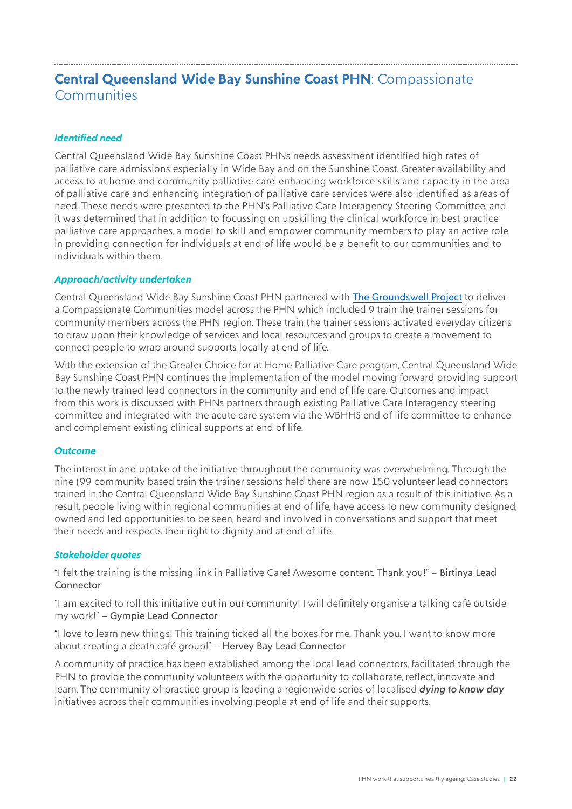### <span id="page-21-0"></span>**Central Queensland Wide Bay Sunshine Coast PHN**: Compassionate **Communities**

#### *Identified need*

Central Queensland Wide Bay Sunshine Coast PHNs needs assessment identified high rates of palliative care admissions especially in Wide Bay and on the Sunshine Coast. Greater availability and access to at home and community palliative care, enhancing workforce skills and capacity in the area of palliative care and enhancing integration of palliative care services were also identified as areas of need. These needs were presented to the PHN's Palliative Care Interagency Steering Committee, and it was determined that in addition to focussing on upskilling the clinical workforce in best practice palliative care approaches, a model to skill and empower community members to play an active role in providing connection for individuals at end of life would be a benefit to our communities and to individuals within them.

#### *Approach/activity undertaken*

Central Queensland Wide Bay Sunshine Coast PHN partnered with [The Groundswell Project](https://www.thegroundswellproject.com/compassionate-communities) to deliver a Compassionate Communities model across the PHN which included 9 train the trainer sessions for community members across the PHN region. These train the trainer sessions activated everyday citizens to draw upon their knowledge of services and local resources and groups to create a movement to connect people to wrap around supports locally at end of life.

With the extension of the Greater Choice for at Home Palliative Care program, Central Queensland Wide Bay Sunshine Coast PHN continues the implementation of the model moving forward providing support to the newly trained lead connectors in the community and end of life care. Outcomes and impact from this work is discussed with PHNs partners through existing Palliative Care Interagency steering committee and integrated with the acute care system via the WBHHS end of life committee to enhance and complement existing clinical supports at end of life.

#### *Outcome*

The interest in and uptake of the initiative throughout the community was overwhelming. Through the nine (99 community based train the trainer sessions held there are now 150 volunteer lead connectors trained in the Central Queensland Wide Bay Sunshine Coast PHN region as a result of this initiative. As a result, people living within regional communities at end of life, have access to new community designed, owned and led opportunities to be seen, heard and involved in conversations and support that meet their needs and respects their right to dignity and at end of life.

#### *Stakeholder quotes*

"I felt the training is the missing link in Palliative Care! Awesome content. Thank you!" – Birtinya Lead Connector

"I am excited to roll this initiative out in our community! I will definitely organise a talking café outside my work!" – Gympie Lead Connector

"I love to learn new things! This training ticked all the boxes for me. Thank you. I want to know more about creating a death café group!" – Hervey Bay Lead Connector

A community of practice has been established among the local lead connectors, facilitated through the PHN to provide the community volunteers with the opportunity to collaborate, reflect, innovate and learn. The community of practice group is leading a regionwide series of localised *dying to know day* initiatives across their communities involving people at end of life and their supports.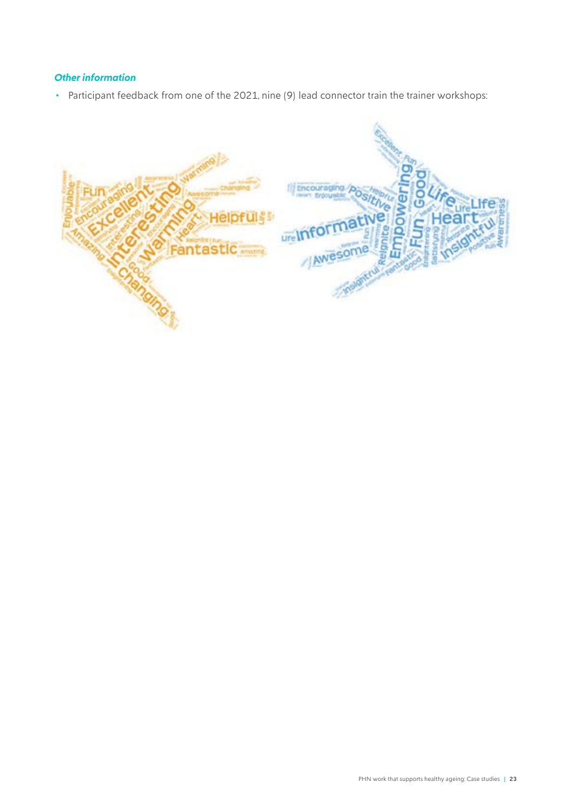#### *Other information*

• Participant feedback from one of the 2021, nine (9) lead connector train the trainer workshops:

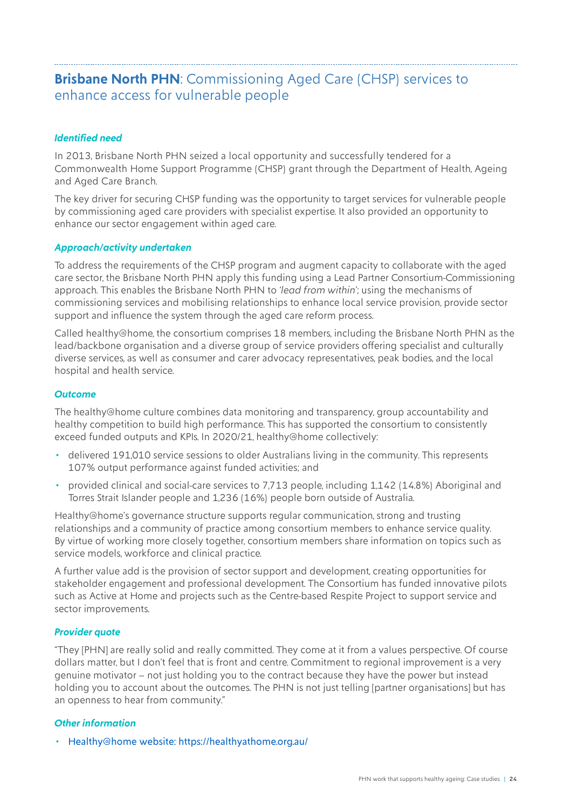## <span id="page-23-0"></span>**Brisbane North PHN**: Commissioning Aged Care (CHSP) services to enhance access for vulnerable people

#### *Identified need*

In 2013, Brisbane North PHN seized a local opportunity and successfully tendered for a Commonwealth Home Support Programme (CHSP) grant through the Department of Health, Ageing and Aged Care Branch.

The key driver for securing CHSP funding was the opportunity to target services for vulnerable people by commissioning aged care providers with specialist expertise. It also provided an opportunity to enhance our sector engagement within aged care.

#### *Approach/activity undertaken*

To address the requirements of the CHSP program and augment capacity to collaborate with the aged care sector, the Brisbane North PHN apply this funding using a Lead Partner Consortium-Commissioning approach. This enables the Brisbane North PHN to *'lead from within'*; using the mechanisms of commissioning services and mobilising relationships to enhance local service provision, provide sector support and influence the system through the aged care reform process.

Called healthy@home, the consortium comprises 18 members, including the Brisbane North PHN as the lead/backbone organisation and a diverse group of service providers offering specialist and culturally diverse services, as well as consumer and carer advocacy representatives, peak bodies, and the local hospital and health service.

#### *Outcome*

The healthy@home culture combines data monitoring and transparency, group accountability and healthy competition to build high performance. This has supported the consortium to consistently exceed funded outputs and KPIs. In 2020/21, healthy@home collectively:

- delivered 191,010 service sessions to older Australians living in the community. This represents 107% output performance against funded activities; and
- provided clinical and social-care services to 7,713 people, including 1,142 (14.8%) Aboriginal and Torres Strait Islander people and 1,236 (16%) people born outside of Australia.

Healthy@home's governance structure supports regular communication, strong and trusting relationships and a community of practice among consortium members to enhance service quality. By virtue of working more closely together, consortium members share information on topics such as service models, workforce and clinical practice.

A further value add is the provision of sector support and development, creating opportunities for stakeholder engagement and professional development. The Consortium has funded innovative pilots such as [Active at Home](https://activeathome.org.au/) and projects such as the [Centre-based Respite Project](https://healthyathome.org.au/more-than-just-a-day-out/) to support service and sector improvements.

#### *Provider quote*

"They [PHN] are really solid and really committed. They come at it from a values perspective. Of course dollars matter, but I don't feel that is front and centre. Commitment to regional improvement is a very genuine motivator – not just holding you to the contract because they have the power but instead holding you to account about the outcomes. The PHN is not just telling [partner organisations] but has an openness to hear from community."

#### *Other information*

• Healthy@home website: <https://healthyathome.org.au/>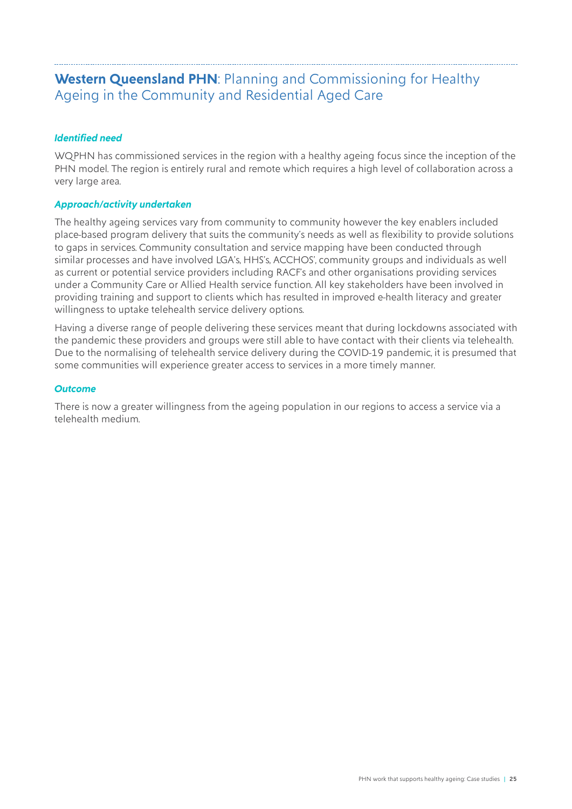# <span id="page-24-0"></span>**Western Queensland PHN**: Planning and Commissioning for Healthy Ageing in the Community and Residential Aged Care

#### *Identified need*

WQPHN has commissioned services in the region with a healthy ageing focus since the inception of the PHN model. The region is entirely rural and remote which requires a high level of collaboration across a very large area.

#### *Approach/activity undertaken*

The healthy ageing services vary from community to community however the key enablers included place-based program delivery that suits the community's needs as well as flexibility to provide solutions to gaps in services. Community consultation and service mapping have been conducted through similar processes and have involved LGA's, HHS's, ACCHOS', community groups and individuals as well as current or potential service providers including RACF's and other organisations providing services under a Community Care or Allied Health service function. All key stakeholders have been involved in providing training and support to clients which has resulted in improved e-health literacy and greater willingness to uptake telehealth service delivery options.

Having a diverse range of people delivering these services meant that during lockdowns associated with the pandemic these providers and groups were still able to have contact with their clients via telehealth. Due to the normalising of telehealth service delivery during the COVID-19 pandemic, it is presumed that some communities will experience greater access to services in a more timely manner.

#### *Outcome*

There is now a greater willingness from the ageing population in our regions to access a service via a telehealth medium.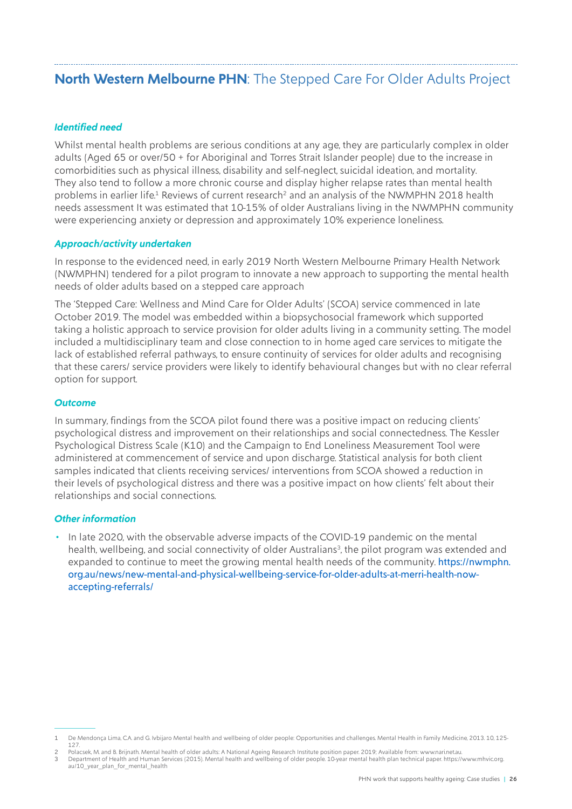# <span id="page-25-0"></span>**North Western Melbourne PHN**: The Stepped Care For Older Adults Project

#### *Identified need*

Whilst mental health problems are serious conditions at any age, they are particularly complex in older adults (Aged 65 or over/50 + for Aboriginal and Torres Strait Islander people) due to the increase in comorbidities such as physical illness, disability and self-neglect, suicidal ideation, and mortality. They also tend to follow a more chronic course and display higher relapse rates than mental health problems in earlier life.<sup>1</sup> Reviews of current research<sup>2</sup> and an analysis of the NWMPHN 2018 health needs assessment It was estimated that 10-15% of older Australians living in the NWMPHN community were experiencing anxiety or depression and approximately 10% experience loneliness.

#### *Approach/activity undertaken*

In response to the evidenced need, in early 2019 North Western Melbourne Primary Health Network (NWMPHN) tendered for a pilot program to innovate a new approach to supporting the mental health needs of older adults based on a stepped care approach

The 'Stepped Care: Wellness and Mind Care for Older Adults' (SCOA) service commenced in late October 2019. The model was embedded within a biopsychosocial framework which supported taking a holistic approach to service provision for older adults living in a community setting. The model included a multidisciplinary team and close connection to in home aged care services to mitigate the lack of established referral pathways, to ensure continuity of services for older adults and recognising that these carers/ service providers were likely to identify behavioural changes but with no clear referral option for support.

#### *Outcome*

In summary, findings from the SCOA pilot found there was a positive impact on reducing clients' psychological distress and improvement on their relationships and social connectedness. The Kessler Psychological Distress Scale (K10) and the Campaign to End Loneliness Measurement Tool were administered at commencement of service and upon discharge. Statistical analysis for both client samples indicated that clients receiving services/ interventions from SCOA showed a reduction in their levels of psychological distress and there was a positive impact on how clients' felt about their relationships and social connections.

#### *Other information*

• In late 2020, with the observable adverse impacts of the COVID-19 pandemic on the mental health, wellbeing, and social connectivity of older Australians<sup>3</sup>, the pilot program was extended and expanded to continue to meet the growing mental health needs of the community. [https://nwmphn.](https://nwmphn.org.au/news/new-mental-and-physical-wellbeing-service-for-older-adults-at-merri-health-now-accepting-referrals/) [org.au/news/new-mental-and-physical-wellbeing-service-for-older-adults-at-merri-health-now](https://nwmphn.org.au/news/new-mental-and-physical-wellbeing-service-for-older-adults-at-merri-health-now-accepting-referrals/)[accepting-referrals/](https://nwmphn.org.au/news/new-mental-and-physical-wellbeing-service-for-older-adults-at-merri-health-now-accepting-referrals/)

<sup>1</sup> De Mendonça Lima, C.A. and G. Ivbijaro Mental health and wellbeing of older people: Opportunities and challenges. Mental Health in Family Medicine, 2013. 10, 125- 127.

<sup>2</sup> Polacsek, M. and B. Brijnath. Mental health of older adults: A National Ageing Research Institute position paper. 2019; Available from: www.nari.net.au.

<sup>3</sup> Department of Health and Human Services (2015). Mental health and wellbeing of older people. 10-year mental health plan technical paper. https://www.mhvic.org. au/10\_year\_plan\_for\_mental\_health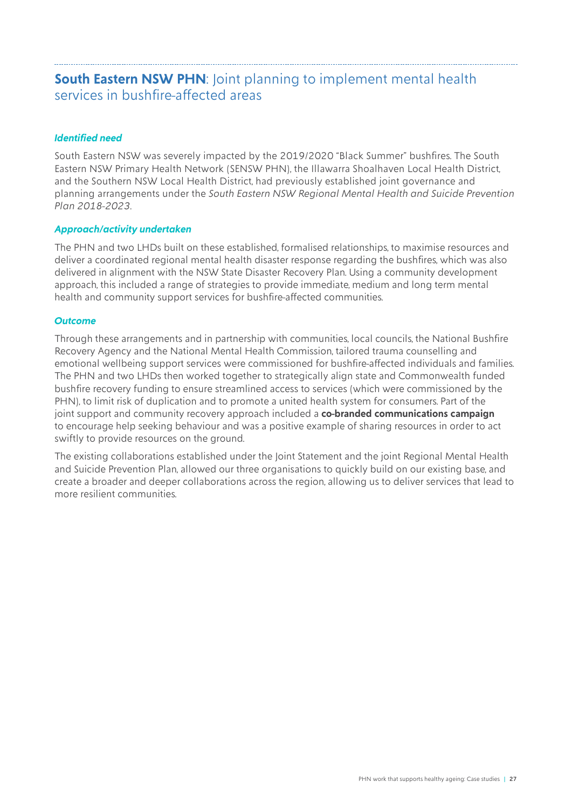### <span id="page-26-0"></span>**South Eastern NSW PHN:** Joint planning to implement mental health services in bushfire-affected areas

#### *Identified need*

South Eastern NSW was severely impacted by the 2019/2020 "Black Summer" bushfires. The South Eastern NSW Primary Health Network (SENSW PHN), the Illawarra Shoalhaven Local Health District, and the Southern NSW Local Health District, had previously established joint governance and planning arrangements under the *South Eastern NSW Regional Mental Health and Suicide Prevention Plan 2018-2023*.

#### *Approach/activity undertaken*

The PHN and two LHDs built on these established, formalised relationships, to maximise resources and deliver a coordinated regional mental health disaster response regarding the bushfires, which was also delivered in alignment with the NSW State Disaster Recovery Plan. Using a community development approach, this included a range of strategies to provide immediate, medium and long term mental health and community support services for bushfire-affected communities.

#### *Outcome*

Through these arrangements and in partnership with communities, local councils, the National Bushfire Recovery Agency and the National Mental Health Commission, tailored trauma counselling and emotional wellbeing support services were commissioned for bushfire-affected individuals and families. The PHN and two LHDs then worked together to strategically align state and Commonwealth funded bushfire recovery funding to ensure streamlined access to services (which were commissioned by the PHN), to limit risk of duplication and to promote a united health system for consumers. Part of the joint support and community recovery approach included a **co-branded communications campaign** to encourage help seeking behaviour and was a positive example of sharing resources in order to act swiftly to provide resources on the ground.

The existing collaborations established under the Joint Statement and the joint Regional Mental Health and Suicide Prevention Plan, allowed our three organisations to quickly build on our existing base, and create a broader and deeper collaborations across the region, allowing us to deliver services that lead to more resilient communities.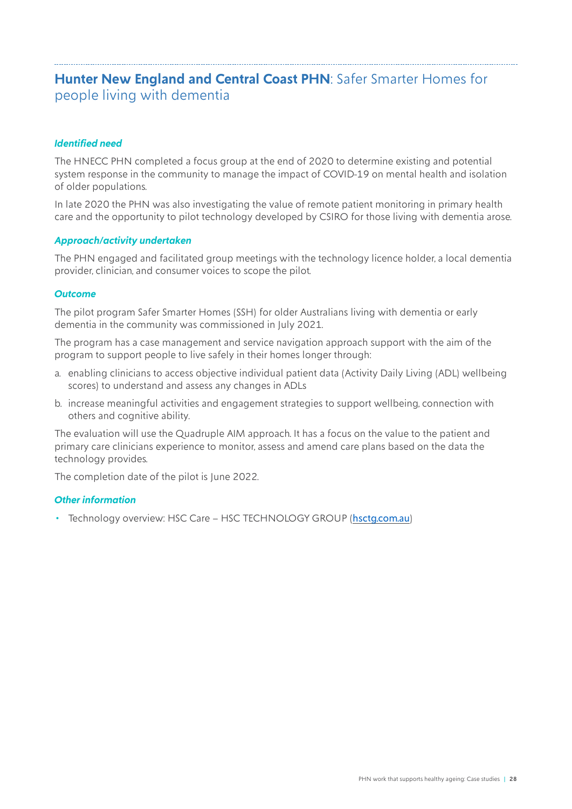### <span id="page-27-0"></span>**Hunter New England and Central Coast PHN**: Safer Smarter Homes for people living with dementia

#### *Identified need*

The HNECC PHN completed a focus group at the end of 2020 to determine existing and potential system response in the community to manage the impact of COVID-19 on mental health and isolation of older populations.

In late 2020 the PHN was also investigating the value of remote patient monitoring in primary health care and the opportunity to pilot technology developed by CSIRO for those living with dementia arose.

#### *Approach/activity undertaken*

The PHN engaged and facilitated group meetings with the technology licence holder, a local dementia provider, clinician, and consumer voices to scope the pilot.

#### *Outcome*

The pilot program Safer Smarter Homes (SSH) for older Australians living with dementia or early dementia in the community was commissioned in July 2021.

The program has a case management and service navigation approach support with the aim of the program to support people to live safely in their homes longer through:

- a. enabling clinicians to access objective individual patient data (Activity Daily Living (ADL) wellbeing scores) to understand and assess any changes in ADLs
- b. increase meaningful activities and engagement strategies to support wellbeing, connection with others and cognitive ability.

The evaluation will use the Quadruple AIM approach. It has a focus on the value to the patient and primary care clinicians experience to monitor, assess and amend care plans based on the data the technology provides.

The completion date of the pilot is June 2022.

#### *Other information*

• Technology overview: HSC Care - HSC TECHNOLOGY GROUP (hsctg.com.au)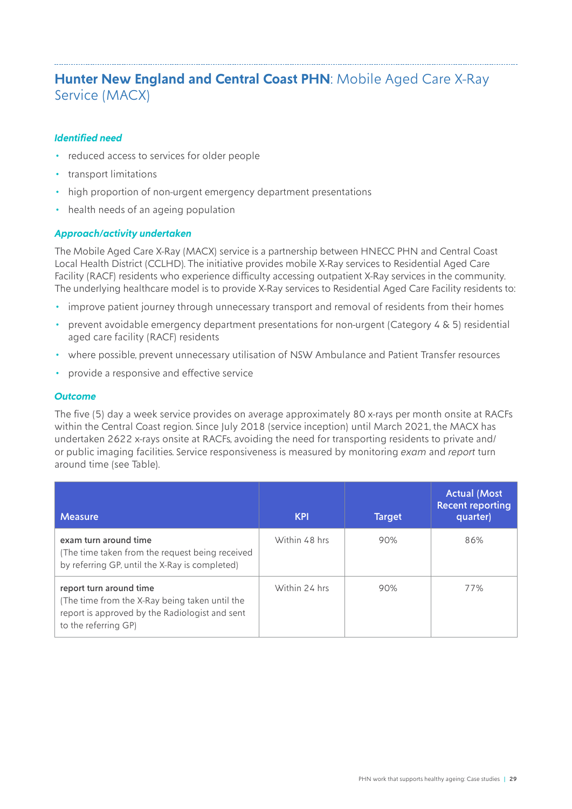# <span id="page-28-0"></span>**Hunter New England and Central Coast PHN**: Mobile Aged Care X-Ray Service (MACX)

#### *Identified need*

- reduced access to services for older people
- transport limitations
- high proportion of non-urgent emergency department presentations
- health needs of an ageing population

#### *Approach/activity undertaken*

The Mobile Aged Care X-Ray (MACX) service is a partnership between HNECC PHN and Central Coast Local Health District (CCLHD). The initiative provides mobile X-Ray services to Residential Aged Care Facility (RACF) residents who experience difficulty accessing outpatient X-Ray services in the community. The underlying healthcare model is to provide X-Ray services to Residential Aged Care Facility residents to:

- improve patient journey through unnecessary transport and removal of residents from their homes
- prevent avoidable emergency department presentations for non-urgent (Category 4 & 5) residential aged care facility (RACF) residents
- where possible, prevent unnecessary utilisation of NSW Ambulance and Patient Transfer resources
- provide a responsive and effective service

#### *Outcome*

The five (5) day a week service provides on average approximately 80 x-rays per month onsite at RACFs within the Central Coast region. Since July 2018 (service inception) until March 2021, the MACX has undertaken 2622 x-rays onsite at RACFs, avoiding the need for transporting residents to private and/ or public imaging facilities. Service responsiveness is measured by monitoring *exam* and *report* turn around time (see Table).

| <b>Measure</b>                                                                                                                                      | <b>KPI</b>    | <b>Target</b> | <b>Actual (Most</b><br><b>Recent reporting</b><br>quarter) |
|-----------------------------------------------------------------------------------------------------------------------------------------------------|---------------|---------------|------------------------------------------------------------|
| exam turn around time<br>(The time taken from the request being received<br>by referring GP, until the X-Ray is completed)                          | Within 48 hrs | 90%           | 86%                                                        |
| report turn around time<br>(The time from the X-Ray being taken until the<br>report is approved by the Radiologist and sent<br>to the referring GP) | Within 24 hrs | 90%           | 77%                                                        |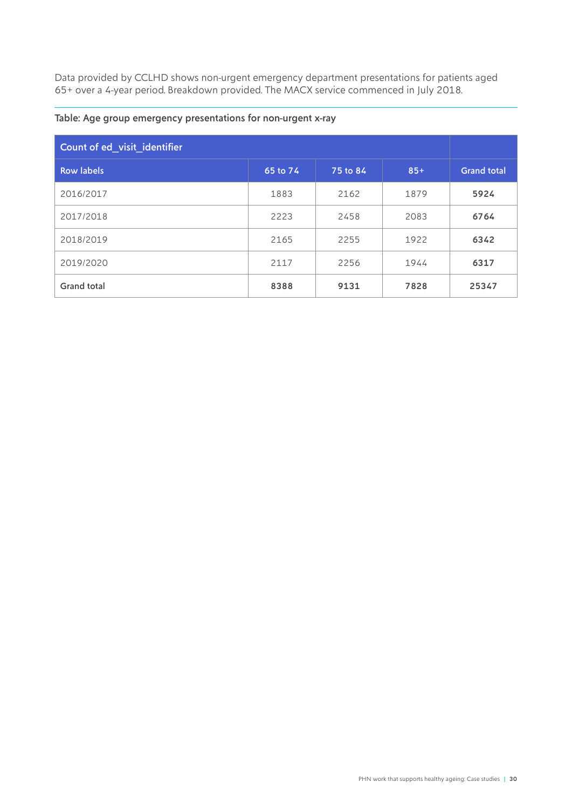Data provided by CCLHD shows non-urgent emergency department presentations for patients aged 65+ over a 4-year period. Breakdown provided. The MACX service commenced in July 2018.

| Count of ed visit identifier |          |          |       |                    |
|------------------------------|----------|----------|-------|--------------------|
| <b>Row labels</b>            | 65 to 74 | 75 to 84 | $85+$ | <b>Grand total</b> |
| 2016/2017                    | 1883     | 2162     | 1879  | 5924               |
| 2017/2018                    | 2223     | 2458     | 2083  | 6764               |
| 2018/2019                    | 2165     | 2255     | 1922  | 6342               |
| 2019/2020                    | 2117     | 2256     | 1944  | 6317               |
| <b>Grand total</b>           | 8388     | 9131     | 7828  | 25347              |

#### Table: Age group emergency presentations for non-urgent x-ray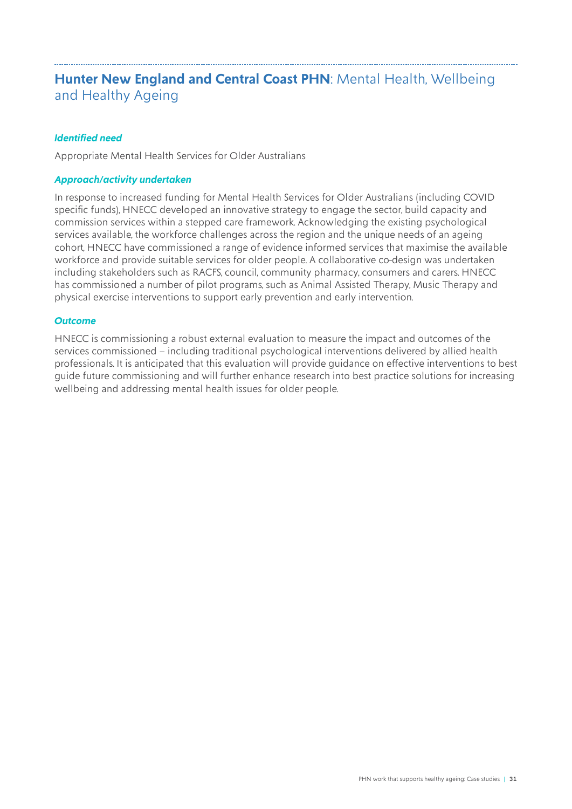# <span id="page-30-0"></span>**Hunter New England and Central Coast PHN: Mental Health, Wellbeing** and Healthy Ageing

#### *Identified need*

Appropriate Mental Health Services for Older Australians

#### *Approach/activity undertaken*

In response to increased funding for Mental Health Services for Older Australians (including COVID specific funds), HNECC developed an innovative strategy to engage the sector, build capacity and commission services within a stepped care framework. Acknowledging the existing psychological services available, the workforce challenges across the region and the unique needs of an ageing cohort, HNECC have commissioned a range of evidence informed services that maximise the available workforce and provide suitable services for older people. A collaborative co-design was undertaken including stakeholders such as RACFS, council, community pharmacy, consumers and carers. HNECC has commissioned a number of pilot programs, such as Animal Assisted Therapy, Music Therapy and physical exercise interventions to support early prevention and early intervention.

#### *Outcome*

HNECC is commissioning a robust external evaluation to measure the impact and outcomes of the services commissioned – including traditional psychological interventions delivered by allied health professionals. It is anticipated that this evaluation will provide guidance on effective interventions to best guide future commissioning and will further enhance research into best practice solutions for increasing wellbeing and addressing mental health issues for older people.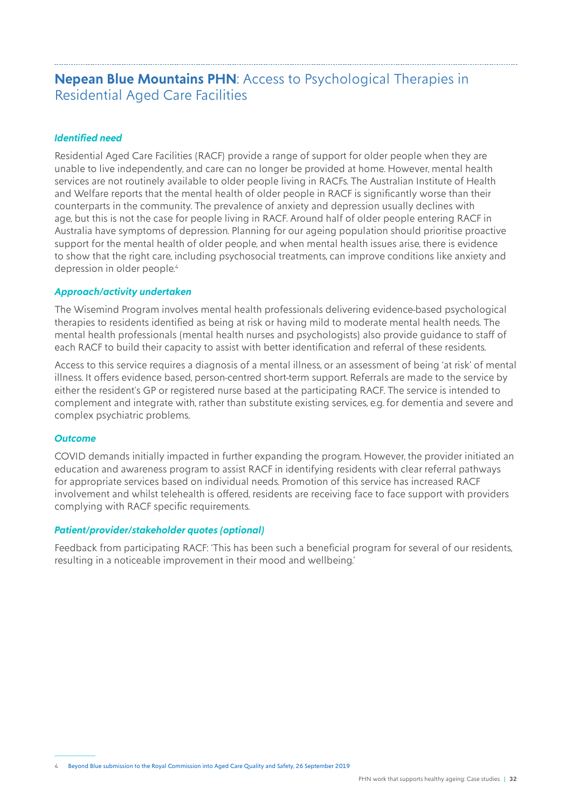### <span id="page-31-0"></span>**Nepean Blue Mountains PHN**: Access to Psychological Therapies in Residential Aged Care Facilities

#### *Identified need*

Residential Aged Care Facilities (RACF) provide a range of support for older people when they are unable to live independently, and care can no longer be provided at home. However, mental health services are not routinely available to older people living in RACFs. The Australian Institute of Health and Welfare reports that the mental health of older people in RACF is significantly worse than their counterparts in the community. The prevalence of anxiety and depression usually declines with age, but this is not the case for people living in RACF. Around half of older people entering RACF in Australia have symptoms of depression. Planning for our ageing population should prioritise proactive support for the mental health of older people, and when mental health issues arise, there is evidence to show that the right care, including psychosocial treatments, can improve conditions like anxiety and depression in older people.<sup>4</sup>

#### *Approach/activity undertaken*

The Wisemind Program involves mental health professionals delivering evidence-based psychological therapies to residents identified as being at risk or having mild to moderate mental health needs. The mental health professionals (mental health nurses and psychologists) also provide guidance to staff of each RACF to build their capacity to assist with better identification and referral of these residents.

Access to this service requires a diagnosis of a mental illness, or an assessment of being 'at risk' of mental illness. It offers evidence based, person-centred short-term support. Referrals are made to the service by either the resident's GP or registered nurse based at the participating RACF. The service is intended to complement and integrate with, rather than substitute existing services, e.g. for dementia and severe and complex psychiatric problems.

#### *Outcome*

COVID demands initially impacted in further expanding the program. However, the provider initiated an education and awareness program to assist RACF in identifying residents with clear referral pathways for appropriate services based on individual needs. Promotion of this service has increased RACF involvement and whilst telehealth is offered, residents are receiving face to face support with providers complying with RACF specific requirements.

#### *Patient/provider/stakeholder quotes (optional)*

Feedback from participating RACF: 'This has been such a beneficial program for several of our residents, resulting in a noticeable improvement in their mood and wellbeing.'

<sup>4</sup> [Beyond Blue submission to the Royal Commission into Aged Care Quality and Safety, 26 September 2019](https://www.beyondblue.org.au/docs/default-source/policy-submissions/bw0696-beyond-blue-submission-to-the-royal-commission-into-aged-care-quality-and-safety.pdf?sfvrsn=2af999ea_2)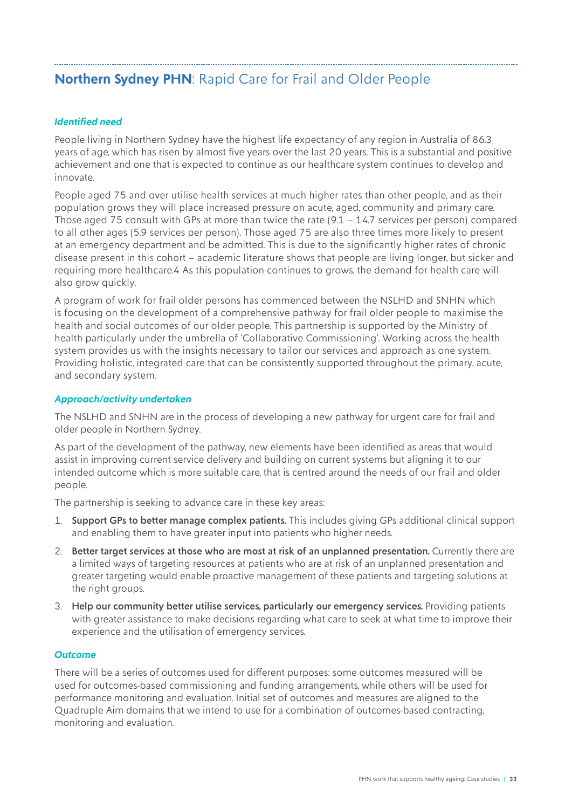# <span id="page-32-0"></span>**Northern Sydney PHN**: Rapid Care for Frail and Older People

#### *Identified need*

People living in Northern Sydney have the highest life expectancy of any region in Australia of 86.3 years of age, which has risen by almost five years over the last 20 years. This is a substantial and positive achievement and one that is expected to continue as our healthcare system continues to develop and innovate.

People aged 75 and over utilise health services at much higher rates than other people, and as their population grows they will place increased pressure on acute, aged, community and primary care. Those aged 75 consult with GPs at more than twice the rate (9.1 – 14.7 services per person) compared to all other ages (5.9 services per person). Those aged 75 are also three times more likely to present at an emergency department and be admitted. This is due to the significantly higher rates of chronic disease present in this cohort – academic literature shows that people are living longer, but sicker and requiring more healthcare.4 As this population continues to grows, the demand for health care will also grow quickly.

A program of work for frail older persons has commenced between the NSLHD and SNHN which is focusing on the development of a comprehensive pathway for frail older people to maximise the health and social outcomes of our older people. This partnership is supported by the Ministry of health particularly under the umbrella of 'Collaborative Commissioning'. Working across the health system provides us with the insights necessary to tailor our services and approach as one system. Providing holistic, integrated care that can be consistently supported throughout the primary, acute, and secondary system.

#### *Approach/activity undertaken*

The NSLHD and SNHN are in the process of developing a new pathway for urgent care for frail and older people in Northern Sydney.

As part of the development of the pathway, new elements have been identified as areas that would assist in improving current service delivery and building on current systems but aligning it to our intended outcome which is more suitable care, that is centred around the needs of our frail and older people.

The partnership is seeking to advance care in these key areas:

- 1. Support GPs to better manage complex patients. This includes giving GPs additional clinical support and enabling them to have greater input into patients who higher needs.
- 2. Better target services at those who are most at risk of an unplanned presentation. Currently there are a limited ways of targeting resources at patients who are at risk of an unplanned presentation and greater targeting would enable proactive management of these patients and targeting solutions at the right groups.
- 3. Help our community better utilise services, particularly our emergency services. Providing patients with greater assistance to make decisions regarding what care to seek at what time to improve their experience and the utilisation of emergency services.

#### *Outcome*

There will be a series of outcomes used for different purposes: some outcomes measured will be used for outcomes-based commissioning and funding arrangements, while others will be used for performance monitoring and evaluation. Initial set of outcomes and measures are aligned to the Quadruple Aim domains that we intend to use for a combination of outcomes-based contracting, monitoring and evaluation.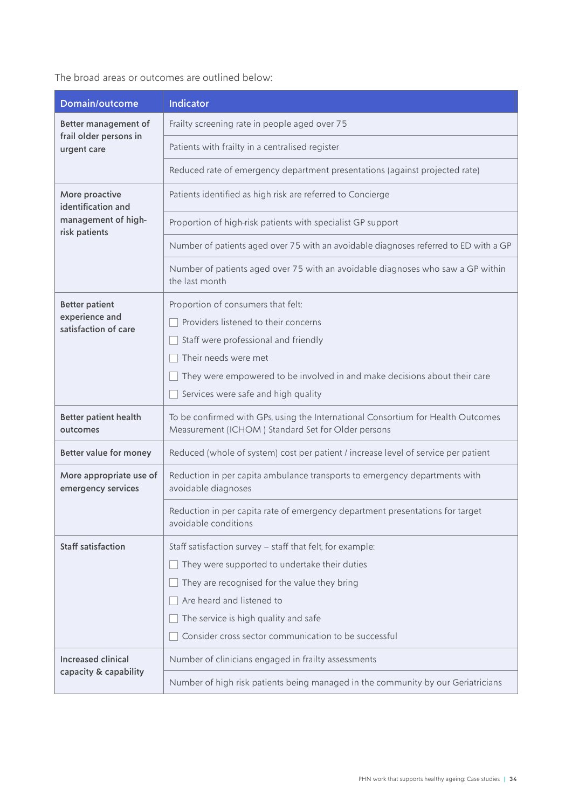The broad areas or outcomes are outlined below:

| Domain/outcome                                | <b>Indicator</b>                                                                                                                       |
|-----------------------------------------------|----------------------------------------------------------------------------------------------------------------------------------------|
| Better management of                          | Frailty screening rate in people aged over 75                                                                                          |
| frail older persons in<br>urgent care         | Patients with frailty in a centralised register                                                                                        |
|                                               | Reduced rate of emergency department presentations (against projected rate)                                                            |
| More proactive<br>identification and          | Patients identified as high risk are referred to Concierge                                                                             |
| management of high-<br>risk patients          | Proportion of high-risk patients with specialist GP support                                                                            |
|                                               | Number of patients aged over 75 with an avoidable diagnoses referred to ED with a GP                                                   |
|                                               | Number of patients aged over 75 with an avoidable diagnoses who saw a GP within<br>the last month                                      |
| <b>Better patient</b>                         | Proportion of consumers that felt:                                                                                                     |
| experience and<br>satisfaction of care        | Providers listened to their concerns                                                                                                   |
|                                               | Staff were professional and friendly                                                                                                   |
|                                               | Their needs were met                                                                                                                   |
|                                               | They were empowered to be involved in and make decisions about their care                                                              |
|                                               | Services were safe and high quality                                                                                                    |
| <b>Better patient health</b><br>outcomes      | To be confirmed with GPs, using the International Consortium for Health Outcomes<br>Measurement (ICHOM) Standard Set for Older persons |
| Better value for money                        | Reduced (whole of system) cost per patient / increase level of service per patient                                                     |
| More appropriate use of<br>emergency services | Reduction in per capita ambulance transports to emergency departments with<br>avoidable diagnoses                                      |
|                                               | Reduction in per capita rate of emergency department presentations for target<br>avoidable conditions                                  |
| Staff satisfaction                            | Staff satisfaction survey - staff that felt, for example:                                                                              |
|                                               | They were supported to undertake their duties                                                                                          |
|                                               | They are recognised for the value they bring                                                                                           |
|                                               | Are heard and listened to                                                                                                              |
|                                               | The service is high quality and safe                                                                                                   |
|                                               | Consider cross sector communication to be successful                                                                                   |
| <b>Increased clinical</b>                     | Number of clinicians engaged in frailty assessments                                                                                    |
| capacity & capability                         | Number of high risk patients being managed in the community by our Geriatricians                                                       |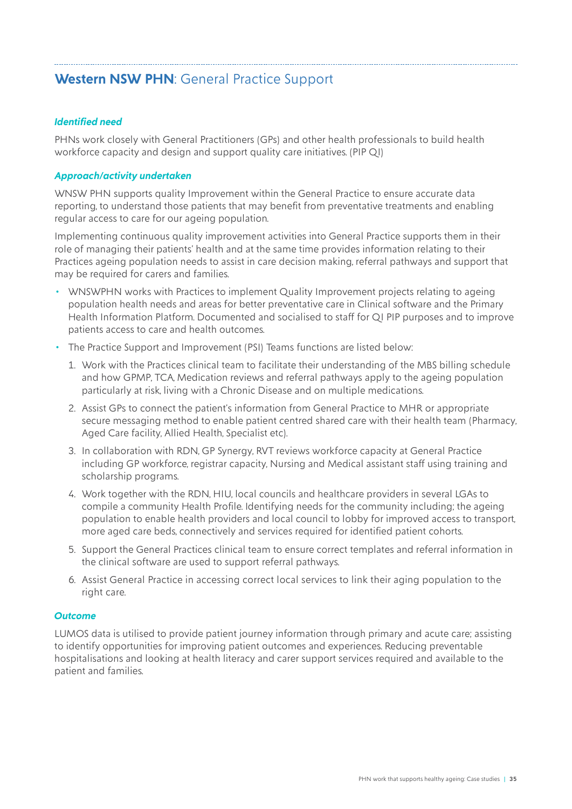# <span id="page-34-0"></span>**Western NSW PHN**: General Practice Support

#### *Identified need*

PHNs work closely with General Practitioners (GPs) and other health professionals to build health workforce capacity and design and support quality care initiatives. (PIP QI)

#### *Approach/activity undertaken*

WNSW PHN supports quality Improvement within the General Practice to ensure accurate data reporting, to understand those patients that may benefit from preventative treatments and enabling regular access to care for our ageing population.

Implementing continuous quality improvement activities into General Practice supports them in their role of managing their patients' health and at the same time provides information relating to their Practices ageing population needs to assist in care decision making, referral pathways and support that may be required for carers and families.

- WNSWPHN works with Practices to implement Quality Improvement projects relating to ageing population health needs and areas for better preventative care in Clinical software and the Primary Health Information Platform. Documented and socialised to staff for QI PIP purposes and to improve patients access to care and health outcomes.
- The Practice Support and Improvement (PSI) Teams functions are listed below:
	- 1. Work with the Practices clinical team to facilitate their understanding of the MBS billing schedule and how GPMP, TCA, Medication reviews and referral pathways apply to the ageing population particularly at risk, living with a Chronic Disease and on multiple medications.
	- 2. Assist GPs to connect the patient's information from General Practice to MHR or appropriate secure messaging method to enable patient centred shared care with their health team (Pharmacy, Aged Care facility, Allied Health, Specialist etc).
	- 3. In collaboration with RDN, GP Synergy, RVT reviews workforce capacity at General Practice including GP workforce, registrar capacity, Nursing and Medical assistant staff using training and scholarship programs.
	- 4. Work together with the RDN, HIU, local councils and healthcare providers in several LGAs to compile a community Health Profile. Identifying needs for the community including; the ageing population to enable health providers and local council to lobby for improved access to transport, more aged care beds, connectively and services required for identified patient cohorts.
	- 5. Support the General Practices clinical team to ensure correct templates and referral information in the clinical software are used to support referral pathways.
	- 6. Assist General Practice in accessing correct local services to link their aging population to the right care.

#### *Outcome*

LUMOS data is utilised to provide patient journey information through primary and acute care; assisting to identify opportunities for improving patient outcomes and experiences. Reducing preventable hospitalisations and looking at health literacy and carer support services required and available to the patient and families.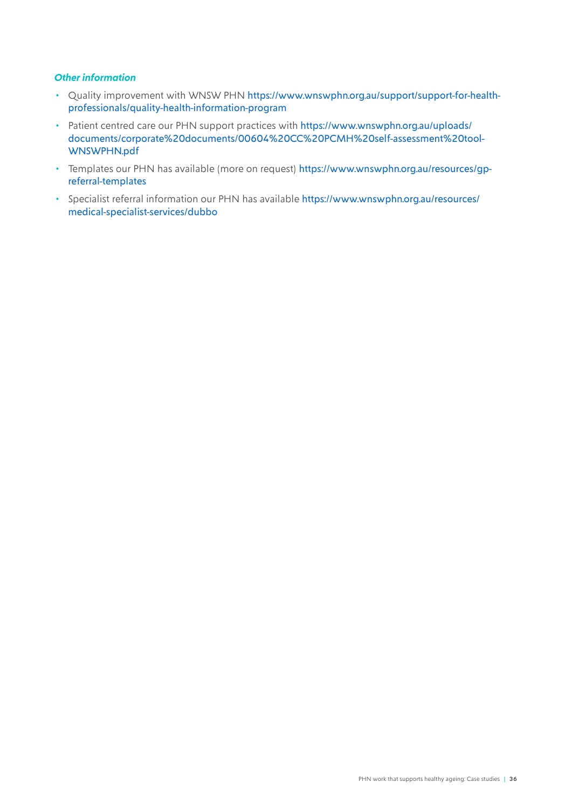#### *Other information*

- Quality improvement with WNSW PHN [https://www.wnswphn.org.au/support/support-for-health](https://www.wnswphn.org.au/support/support-for-health-professionals/quality-health-information-program)[professionals/quality-health-information-program](https://www.wnswphn.org.au/support/support-for-health-professionals/quality-health-information-program)
- Patient centred care our PHN support practices with [https://www.wnswphn.org.au/uploads/](https://www.wnswphn.org.au/uploads/documents/corporate%20documents/00604%20CC%20PCMH%20self-assessment%20tool-WNSWPHN.pdf) [documents/corporate%20documents/00604%20CC%20PCMH%20self-assessment%20tool-](https://www.wnswphn.org.au/uploads/documents/corporate%20documents/00604%20CC%20PCMH%20self-assessment%20tool-WNSWPHN.pdf)[WNSWPHN.pdf](https://www.wnswphn.org.au/uploads/documents/corporate%20documents/00604%20CC%20PCMH%20self-assessment%20tool-WNSWPHN.pdf)
- Templates our PHN has available (more on request) [https://www.wnswphn.org.au/resources/gp](https://www.wnswphn.org.au/resources/gp-referral-templates)[referral-templates](https://www.wnswphn.org.au/resources/gp-referral-templates)
- Specialist referral information our PHN has available [https://www.wnswphn.org.au/resources/](https://www.wnswphn.org.au/resources/medical-specialist-services/dubbo) [medical-specialist-services/dubbo](https://www.wnswphn.org.au/resources/medical-specialist-services/dubbo)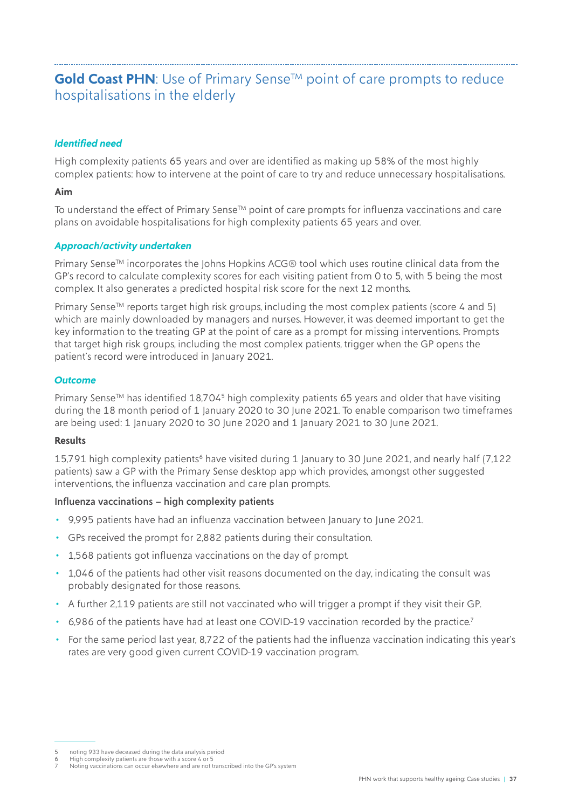## <span id="page-36-0"></span>Gold Coast PHN: Use of Primary Sense<sup>™</sup> point of care prompts to reduce hospitalisations in the elderly

#### *Identified need*

High complexity patients 65 years and over are identified as making up 58% of the most highly complex patients: how to intervene at the point of care to try and reduce unnecessary hospitalisations.

#### **Aim**

To understand the effect of Primary Sense<sup>TM</sup> point of care prompts for influenza vaccinations and care plans on avoidable hospitalisations for high complexity patients 65 years and over.

#### *Approach/activity undertaken*

Primary Sense™ incorporates the Johns Hopkins ACG® tool which uses routine clinical data from the GP's record to calculate complexity scores for each visiting patient from 0 to 5, with 5 being the most complex. It also generates a predicted hospital risk score for the next 12 months.

Primary Sense<sup>TM</sup> reports target high risk groups, including the most complex patients (score 4 and 5) which are mainly downloaded by managers and nurses. However, it was deemed important to get the key information to the treating GP at the point of care as a prompt for missing interventions. Prompts that target high risk groups, including the most complex patients, trigger when the GP opens the patient's record were introduced in January 2021.

#### *Outcome*

Primary Sense<sup>TM</sup> has identified 18,704<sup>5</sup> high complexity patients 65 years and older that have visiting during the 18 month period of 1 January 2020 to 30 June 2021. To enable comparison two timeframes are being used: 1 January 2020 to 30 June 2020 and 1 January 2021 to 30 June 2021.

#### **Results**

15,791 high complexity patients<sup>6</sup> have visited during 1 January to 30 June 2021, and nearly half (7,122 patients) saw a GP with the Primary Sense desktop app which provides, amongst other suggested interventions, the influenza vaccination and care plan prompts.

#### Influenza vaccinations – high complexity patients

- 9,995 patients have had an influenza vaccination between January to June 2021.
- GPs received the prompt for 2,882 patients during their consultation.
- 1,568 patients got influenza vaccinations on the day of prompt.
- 1,046 of the patients had other visit reasons documented on the day, indicating the consult was probably designated for those reasons.
- A further 2,119 patients are still not vaccinated who will trigger a prompt if they visit their GP.
- 6,986 of the patients have had at least one COVID-19 vaccination recorded by the practice.<sup>7</sup>
- For the same period last year, 8,722 of the patients had the influenza vaccination indicating this year's rates are very good given current COVID-19 vaccination program.

<sup>5</sup> noting 933 have deceased during the data analysis period

<sup>6</sup> High complexity patients are those with a score 4 or 5 7 Noting vaccinations can occur elsewhere and are not transcribed into the GP's system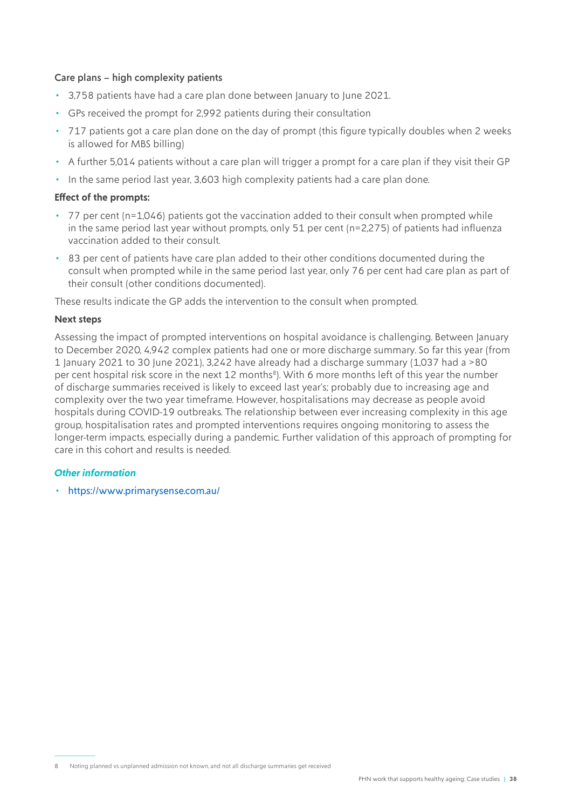#### Care plans – high complexity patients

- 3,758 patients have had a care plan done between January to June 2021.
- GPs received the prompt for 2,992 patients during their consultation
- 717 patients got a care plan done on the day of prompt (this figure typically doubles when 2 weeks is allowed for MBS billing)
- A further 5,014 patients without a care plan will trigger a prompt for a care plan if they visit their GP
- In the same period last year, 3,603 high complexity patients had a care plan done.

#### **Effect of the prompts:**

- 77 per cent (n=1,046) patients got the vaccination added to their consult when prompted while in the same period last year without prompts, only 51 per cent (n=2,275) of patients had influenza vaccination added to their consult.
- 83 per cent of patients have care plan added to their other conditions documented during the consult when prompted while in the same period last year, only 76 per cent had care plan as part of their consult (other conditions documented).

These results indicate the GP adds the intervention to the consult when prompted.

#### **Next steps**

Assessing the impact of prompted interventions on hospital avoidance is challenging. Between January to December 2020, 4,942 complex patients had one or more discharge summary. So far this year (from 1 January 2021 to 30 June 2021), 3,242 have already had a discharge summary (1,037 had a >80 per cent hospital risk score in the next 12 months<sup>8</sup>). With 6 more months left of this year the number of discharge summaries received is likely to exceed last year's; probably due to increasing age and complexity over the two year timeframe. However, hospitalisations may decrease as people avoid hospitals during COVID-19 outbreaks. The relationship between ever increasing complexity in this age group, hospitalisation rates and prompted interventions requires ongoing monitoring to assess the longer-term impacts, especially during a pandemic. Further validation of this approach of prompting for care in this cohort and results is needed.

#### *Other information*

• <https://www.primarysense.com.au/>

<sup>8</sup> Noting planned vs unplanned admission not known, and not all discharge summaries get received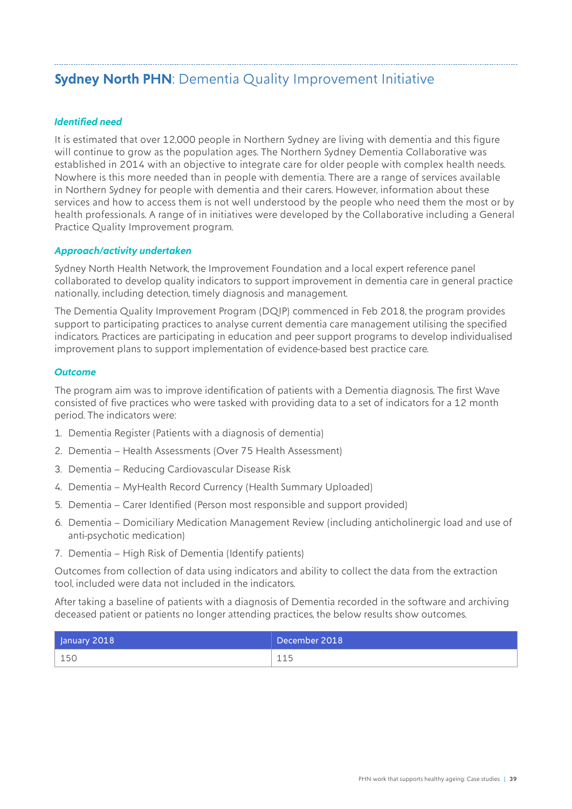# <span id="page-38-0"></span>**Sydney North PHN: Dementia Quality Improvement Initiative**

#### *Identified need*

It is estimated that over 12,000 people in Northern Sydney are living with dementia and this figure will continue to grow as the population ages. The Northern Sydney Dementia Collaborative was established in 2014 with an objective to integrate care for older people with complex health needs. Nowhere is this more needed than in people with dementia. There are a range of services available in Northern Sydney for people with dementia and their carers. However, information about these services and how to access them is not well understood by the people who need them the most or by health professionals. A range of in initiatives were developed by the Collaborative including a General Practice Quality Improvement program.

#### *Approach/activity undertaken*

Sydney North Health Network, the Improvement Foundation and a local expert reference panel collaborated to develop quality indicators to support improvement in dementia care in general practice nationally, including detection, timely diagnosis and management.

The Dementia Quality Improvement Program (DQIP) commenced in Feb 2018, the program provides support to participating practices to analyse current dementia care management utilising the specified indicators. Practices are participating in education and peer support programs to develop individualised improvement plans to support implementation of evidence-based best practice care.

#### *Outcome*

The program aim was to improve identification of patients with a Dementia diagnosis. The first Wave consisted of five practices who were tasked with providing data to a set of indicators for a 12 month period. The indicators were:

- 1. Dementia Register (Patients with a diagnosis of dementia)
- 2. Dementia Health Assessments (Over 75 Health Assessment)
- 3. Dementia Reducing Cardiovascular Disease Risk
- 4. Dementia MyHealth Record Currency (Health Summary Uploaded)
- 5. Dementia Carer Identified (Person most responsible and support provided)
- 6. Dementia Domiciliary Medication Management Review (including anticholinergic load and use of anti-psychotic medication)
- 7. Dementia High Risk of Dementia (Identify patients)

Outcomes from collection of data using indicators and ability to collect the data from the extraction tool, included were data not included in the indicators.

After taking a baseline of patients with a diagnosis of Dementia recorded in the software and archiving deceased patient or patients no longer attending practices, the below results show outcomes.

| January 2018 | December 2018 |
|--------------|---------------|
| 150          | 115<br>ᆂᆂᄀ    |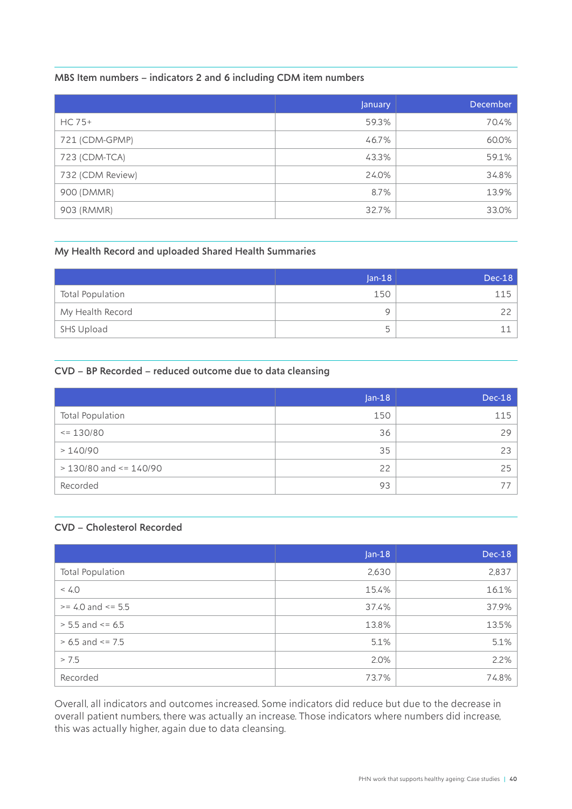#### MBS Item numbers – indicators 2 and 6 including CDM item numbers

|                  | January | December |
|------------------|---------|----------|
| $HC$ 75+         | 59.3%   | 70.4%    |
| 721 (CDM-GPMP)   | 46.7%   | 60.0%    |
| 723 (CDM-TCA)    | 43.3%   | 59.1%    |
| 732 (CDM Review) | 24.0%   | 34.8%    |
| 900 (DMMR)       | 8.7%    | 13.9%    |
| 903 (RMMR)       | 32.7%   | 33.0%    |

#### My Health Record and uploaded Shared Health Summaries

|                         | $ an-18 $ | $Dec-18$ |
|-------------------------|-----------|----------|
| <b>Total Population</b> | 150       | 115      |
| My Health Record        | Q         |          |
| SHS Upload              | ц.        |          |

#### CVD – BP Recorded – reduced outcome due to data cleansing

|                              | $Jan-18$ | $Dec-18$ |
|------------------------------|----------|----------|
| Total Population             | 150      | 115      |
| $\leq$ 130/80                | 36       | 29       |
| >140/90                      | 35       | 23       |
| $> 130/80$ and $\leq 140/90$ | 22       | 25       |
| Recorded                     | 93       |          |

#### CVD – Cholesterol Recorded

|                         | $Jan-18$ | $Dec-18$ |
|-------------------------|----------|----------|
| <b>Total Population</b> | 2,630    | 2,837    |
| < 4.0                   | 15.4%    | 16.1%    |
| $>= 4.0$ and $<= 5.5$   | 37.4%    | 37.9%    |
| $> 5.5$ and $\le 6.5$   | 13.8%    | 13.5%    |
| $> 6.5$ and $<= 7.5$    | 5.1%     | 5.1%     |
| > 7.5                   | 2.0%     | 2.2%     |
| Recorded                | 73.7%    | 74.8%    |

Overall, all indicators and outcomes increased. Some indicators did reduce but due to the decrease in overall patient numbers, there was actually an increase. Those indicators where numbers did increase, this was actually higher, again due to data cleansing.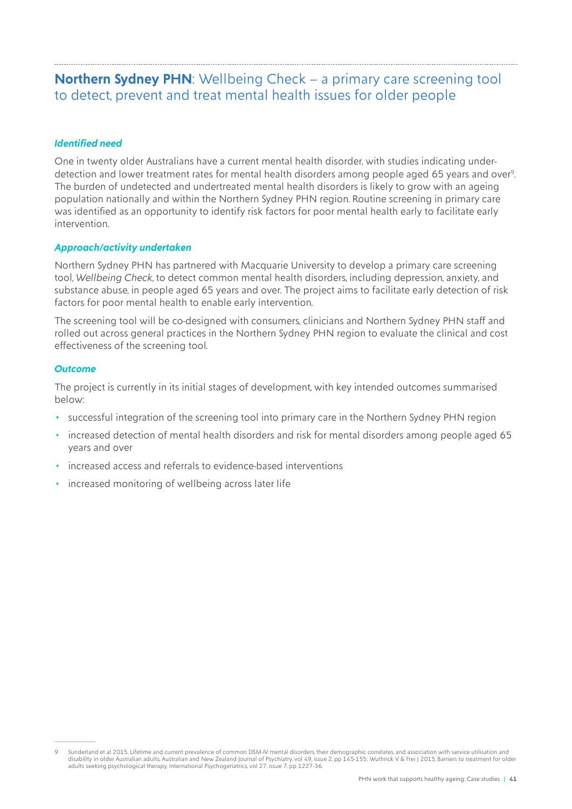# <span id="page-40-0"></span>**Northern Sydney PHN**: Wellbeing Check – a primary care screening tool to detect, prevent and treat mental health issues for older people

#### *Identified need*

One in twenty older Australians have a current mental health disorder, with studies indicating underdetection and lower treatment rates for mental health disorders among people aged 65 years and over9. The burden of undetected and undertreated mental health disorders is likely to grow with an ageing population nationally and within the Northern Sydney PHN region. Routine screening in primary care was identified as an opportunity to identify risk factors for poor mental health early to facilitate early intervention.

#### *Approach/activity undertaken*

Northern Sydney PHN has partnered with Macquarie University to develop a primary care screening tool, *Wellbeing Check*, to detect common mental health disorders, including depression, anxiety, and substance abuse, in people aged 65 years and over. The project aims to facilitate early detection of risk factors for poor mental health to enable early intervention.

The screening tool will be co-designed with consumers, clinicians and Northern Sydney PHN staff and rolled out across general practices in the Northern Sydney PHN region to evaluate the clinical and cost effectiveness of the screening tool.

#### *Outcome*

The project is currently in its initial stages of development, with key intended outcomes summarised below:

- successful integration of the screening tool into primary care in the Northern Sydney PHN region
- increased detection of mental health disorders and risk for mental disorders among people aged 65 years and over
- increased access and referrals to evidence-based interventions
- increased monitoring of wellbeing across later life

Sunderland et al 2015, Lifetime and current prevalence of common DSM-IV mental disorders, their demographic correlates, and association with service utilisation and disability in older Australian adults, Australian and New Zealand Journal of Psychiatry, vol 49, issue 2, pp 145-155; Wuthrick V & Frei J 2015, Barriers to treatment for older<br>adults seeking psychological therapy, Internat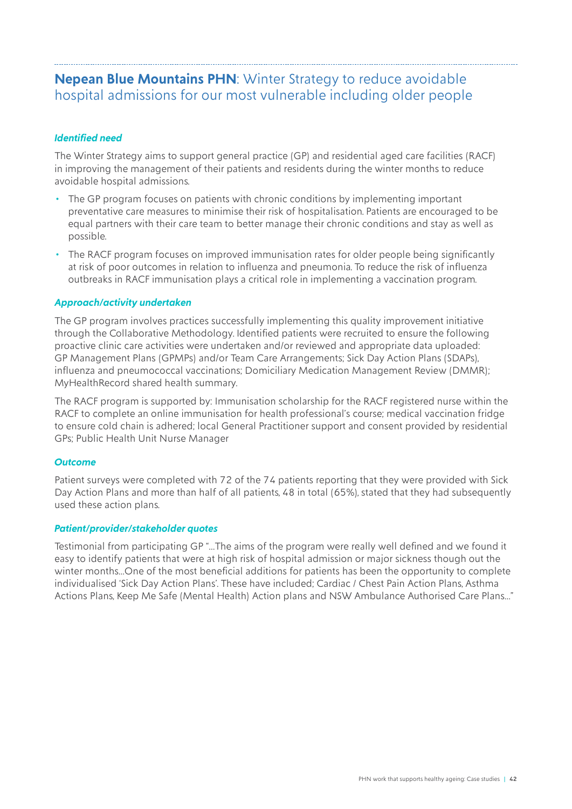### <span id="page-41-0"></span>**Nepean Blue Mountains PHN**: Winter Strategy to reduce avoidable hospital admissions for our most vulnerable including older people

#### *Identified need*

The Winter Strategy aims to support general practice (GP) and residential aged care facilities (RACF) in improving the management of their patients and residents during the winter months to reduce avoidable hospital admissions.

- The GP program focuses on patients with chronic conditions by implementing important preventative care measures to minimise their risk of hospitalisation. Patients are encouraged to be equal partners with their care team to better manage their chronic conditions and stay as well as possible.
- The RACF program focuses on improved immunisation rates for older people being significantly at risk of poor outcomes in relation to influenza and pneumonia. To reduce the risk of influenza outbreaks in RACF immunisation plays a critical role in implementing a vaccination program.

#### *Approach/activity undertaken*

The GP program involves practices successfully implementing this quality improvement initiative through the Collaborative Methodology. Identified patients were recruited to ensure the following proactive clinic care activities were undertaken and/or reviewed and appropriate data uploaded: GP Management Plans (GPMPs) and/or Team Care Arrangements; Sick Day Action Plans (SDAPs), influenza and pneumococcal vaccinations; Domiciliary Medication Management Review (DMMR); MyHealthRecord shared health summary.

The RACF program is supported by: Immunisation scholarship for the RACF registered nurse within the RACF to complete an online immunisation for health professional's course; medical vaccination fridge to ensure cold chain is adhered; local General Practitioner support and consent provided by residential GPs; Public Health Unit Nurse Manager

#### *Outcome*

Patient surveys were completed with 72 of the 74 patients reporting that they were provided with Sick Day Action Plans and more than half of all patients, 48 in total (65%), stated that they had subsequently used these action plans.

#### *Patient/provider/stakeholder quotes*

Testimonial from participating GP "…The aims of the program were really well defined and we found it easy to identify patients that were at high risk of hospital admission or major sickness though out the winter months…One of the most beneficial additions for patients has been the opportunity to complete individualised 'Sick Day Action Plans'. These have included; Cardiac / Chest Pain Action Plans, Asthma Actions Plans, Keep Me Safe (Mental Health) Action plans and NSW Ambulance Authorised Care Plans…"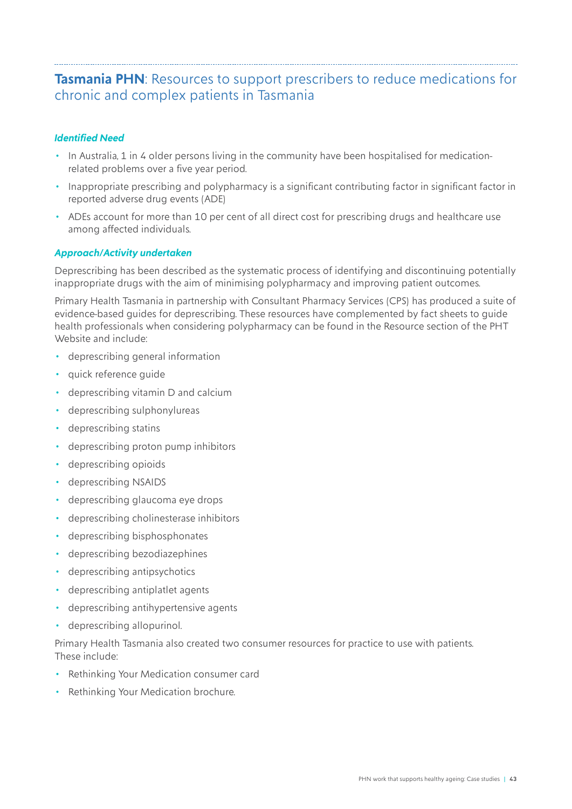### <span id="page-42-0"></span>**Tasmania PHN**: Resources to support prescribers to reduce medications for chronic and complex patients in Tasmania

#### *Identified Need*

- In Australia, 1 in 4 older persons living in the community have been hospitalised for medicationrelated problems over a five year period.
- Inappropriate prescribing and polypharmacy is a significant contributing factor in significant factor in reported adverse drug events (ADE)
- ADEs account for more than 10 per cent of all direct cost for prescribing drugs and healthcare use among affected individuals.

#### *Approach/Activity undertaken*

Deprescribing has been described as the systematic process of identifying and discontinuing potentially inappropriate drugs with the aim of minimising polypharmacy and improving patient outcomes.

Primary Health Tasmania in partnership with Consultant Pharmacy Services (CPS) has produced a suite of evidence-based guides for deprescribing. These resources have complemented by fact sheets to guide health professionals when considering polypharmacy can be found in the Resource section of the PHT Website and include:

- deprescribing general information
- quick reference guide
- deprescribing vitamin D and calcium
- deprescribing sulphonylureas
- deprescribing statins
- deprescribing proton pump inhibitors
- deprescribing opioids
- deprescribing NSAIDS
- deprescribing glaucoma eye drops
- deprescribing cholinesterase inhibitors
- deprescribing bisphosphonates
- deprescribing bezodiazephines
- deprescribing antipsychotics
- deprescribing antiplatlet agents
- deprescribing antihypertensive agents
- deprescribing allopurinol.

Primary Health Tasmania also created two consumer resources for practice to use with patients. These include:

- Rethinking Your Medication consumer card
- Rethinking Your Medication brochure.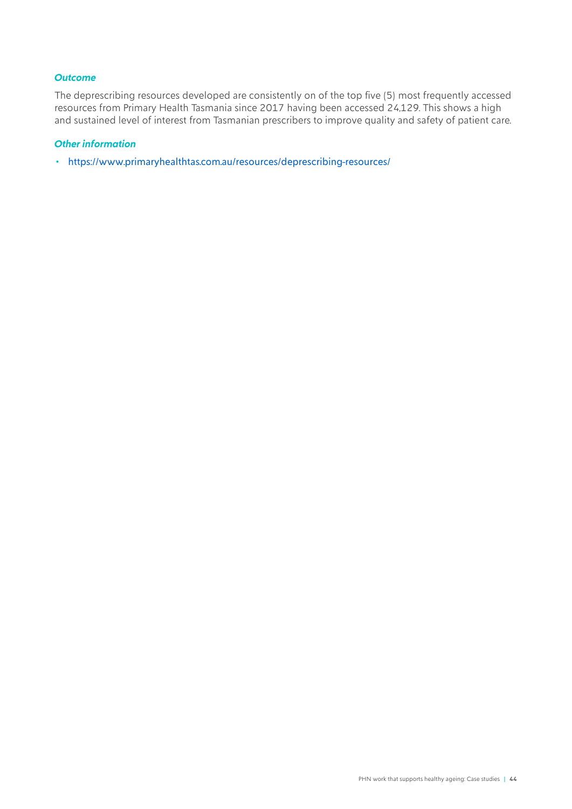#### *Outcome*

The deprescribing resources developed are consistently on of the top five (5) most frequently accessed resources from Primary Health Tasmania since 2017 having been accessed 24,129. This shows a high and sustained level of interest from Tasmanian prescribers to improve quality and safety of patient care.

#### *Other information*

• <https://www.primaryhealthtas.com.au/resources/deprescribing-resources/>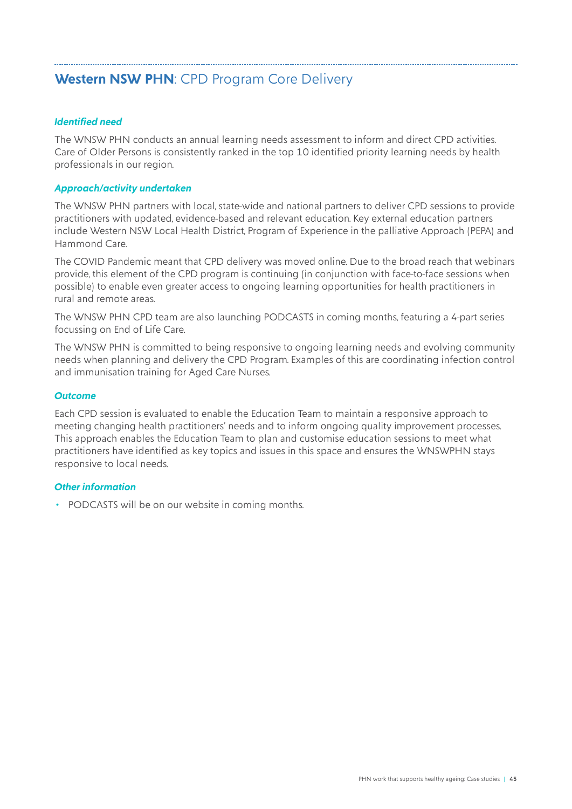# <span id="page-44-0"></span>**Western NSW PHN**: CPD Program Core Delivery

#### *Identified need*

The WNSW PHN conducts an annual learning needs assessment to inform and direct CPD activities. Care of Older Persons is consistently ranked in the top 10 identified priority learning needs by health professionals in our region.

#### *Approach/activity undertaken*

The WNSW PHN partners with local, state-wide and national partners to deliver CPD sessions to provide practitioners with updated, evidence-based and relevant education. Key external education partners include Western NSW Local Health District, Program of Experience in the palliative Approach (PEPA) and Hammond Care.

The COVID Pandemic meant that CPD delivery was moved online. Due to the broad reach that webinars provide, this element of the CPD program is continuing (in conjunction with face-to-face sessions when possible) to enable even greater access to ongoing learning opportunities for health practitioners in rural and remote areas.

The WNSW PHN CPD team are also launching PODCASTS in coming months, featuring a 4-part series focussing on End of Life Care.

The WNSW PHN is committed to being responsive to ongoing learning needs and evolving community needs when planning and delivery the CPD Program. Examples of this are coordinating infection control and immunisation training for Aged Care Nurses.

#### *Outcome*

Each CPD session is evaluated to enable the Education Team to maintain a responsive approach to meeting changing health practitioners' needs and to inform ongoing quality improvement processes. This approach enables the Education Team to plan and customise education sessions to meet what practitioners have identified as key topics and issues in this space and ensures the WNSWPHN stays responsive to local needs.

#### *Other information*

• PODCASTS will be on our website in coming months.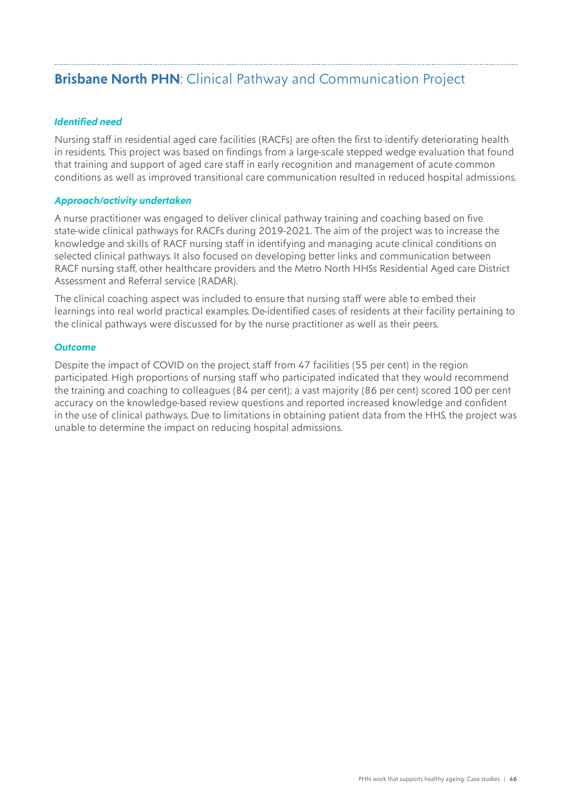# <span id="page-45-0"></span>**Brisbane North PHN**: Clinical Pathway and Communication Project

#### *Identified need*

Nursing staff in residential aged care facilities (RACFs) are often the first to identify deteriorating health in residents. This project was based on findings from a large-scale stepped wedge evaluation that found that training and support of aged care staff in early recognition and management of acute common conditions as well as improved transitional care communication resulted in reduced hospital admissions.

#### *Approach/activity undertaken*

A nurse practitioner was engaged to deliver clinical pathway training and coaching based on five state-wide clinical pathways for RACFs during 2019-2021. The aim of the project was to increase the knowledge and skills of RACF nursing staff in identifying and managing acute clinical conditions on selected clinical pathways. It also focused on developing better links and communication between RACF nursing staff, other healthcare providers and the Metro North HHSs Residential Aged care District Assessment and Referral service (RADAR).

The clinical coaching aspect was included to ensure that nursing staff were able to embed their learnings into real world practical examples. De-identified cases of residents at their facility pertaining to the clinical pathways were discussed for by the nurse practitioner as well as their peers.

#### *Outcome*

Despite the impact of COVID on the project, staff from 47 facilities (55 per cent) in the region participated. High proportions of nursing staff who participated indicated that they would recommend the training and coaching to colleagues (84 per cent); a vast majority (86 per cent) scored 100 per cent accuracy on the knowledge-based review questions and reported increased knowledge and confident in the use of clinical pathways. Due to limitations in obtaining patient data from the HHS, the project was unable to determine the impact on reducing hospital admissions.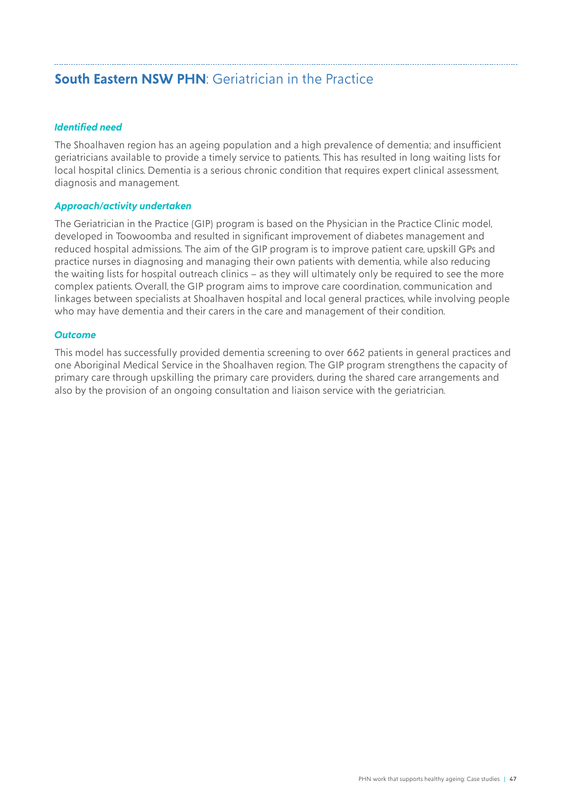# <span id="page-46-0"></span>**South Eastern NSW PHN: Geriatrician in the Practice**

#### *Identified need*

The Shoalhaven region has an ageing population and a high prevalence of dementia; and insufficient geriatricians available to provide a timely service to patients. This has resulted in long waiting lists for local hospital clinics. Dementia is a serious chronic condition that requires expert clinical assessment, diagnosis and management.

#### *Approach/activity undertaken*

The Geriatrician in the Practice (GIP) program is based on the Physician in the Practice Clinic model, developed in Toowoomba and resulted in significant improvement of diabetes management and reduced hospital admissions. The aim of the GIP program is to improve patient care, upskill GPs and practice nurses in diagnosing and managing their own patients with dementia, while also reducing the waiting lists for hospital outreach clinics – as they will ultimately only be required to see the more complex patients. Overall, the GIP program aims to improve care coordination, communication and linkages between specialists at Shoalhaven hospital and local general practices, while involving people who may have dementia and their carers in the care and management of their condition.

#### *Outcome*

This model has successfully provided dementia screening to over 662 patients in general practices and one Aboriginal Medical Service in the Shoalhaven region. The GIP program strengthens the capacity of primary care through upskilling the primary care providers, during the shared care arrangements and also by the provision of an ongoing consultation and liaison service with the geriatrician.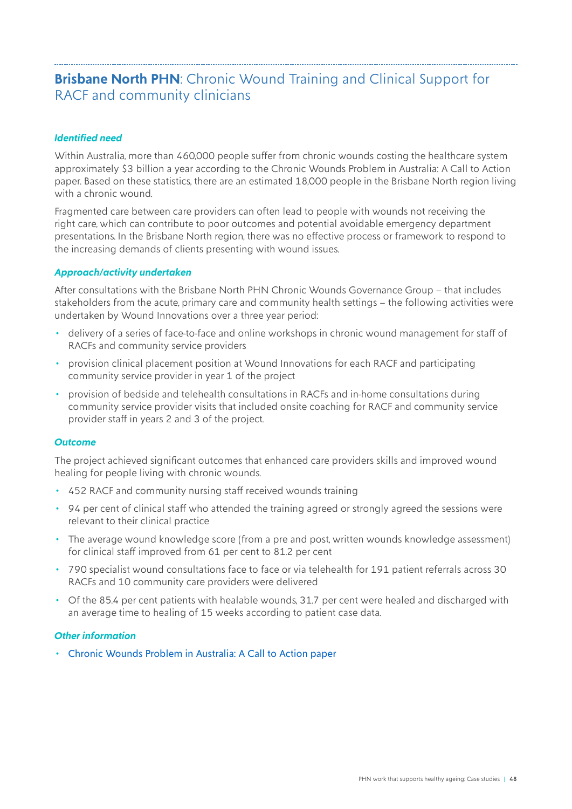# <span id="page-47-0"></span>**Brisbane North PHN**: Chronic Wound Training and Clinical Support for RACF and community clinicians

#### *Identified need*

Within Australia, more than 460,000 people suffer from chronic wounds costing the healthcare system approximately \$3 billion a year according to the [Chronic Wounds Problem in Australia: A Call to Action](http://www.aushsi.org.au/wp-content/uploads/2018/03/2018-Recommendations-Paper_Chronic-Wounds-Solutions.pdf)  [paper.](http://www.aushsi.org.au/wp-content/uploads/2018/03/2018-Recommendations-Paper_Chronic-Wounds-Solutions.pdf) Based on these statistics, there are an estimated 18,000 people in the Brisbane North region living with a chronic wound.

Fragmented care between care providers can often lead to people with wounds not receiving the right care, which can contribute to poor outcomes and potential avoidable emergency department presentations. In the Brisbane North region, there was no effective process or framework to respond to the increasing demands of clients presenting with wound issues.

#### *Approach/activity undertaken*

After consultations with the Brisbane North PHN Chronic Wounds Governance Group – that includes stakeholders from the acute, primary care and community health settings – the following activities were undertaken by Wound Innovations over a three year period:

- delivery of a series of face-to-face and online workshops in chronic wound management for staff of RACFs and community service providers
- provision clinical placement position at Wound Innovations for each RACF and participating community service provider in year 1 of the project
- provision of bedside and telehealth consultations in RACFs and in-home consultations during community service provider visits that included onsite coaching for RACF and community service provider staff in years 2 and 3 of the project.

#### *Outcome*

The project achieved significant outcomes that enhanced care providers skills and improved wound healing for people living with chronic wounds.

- 452 RACF and community nursing staff received wounds training
- 94 per cent of clinical staff who attended the training agreed or strongly agreed the sessions were relevant to their clinical practice
- The average wound knowledge score (from a pre and post, written wounds knowledge assessment) for clinical staff improved from 61 per cent to 81.2 per cent
- 790 specialist wound consultations face to face or via telehealth for 191 patient referrals across 30 RACFs and 10 community care providers were delivered
- Of the 85.4 per cent patients with healable wounds, 31.7 per cent were healed and discharged with an average time to healing of 15 weeks according to patient case data.

#### *Other information*

• [Chronic Wounds Problem in Australia: A Call to Action paper](http://www.aushsi.org.au/wp-content/uploads/2018/03/2018-Recommendations-Paper_Chronic-Wounds-Solutions.pdf)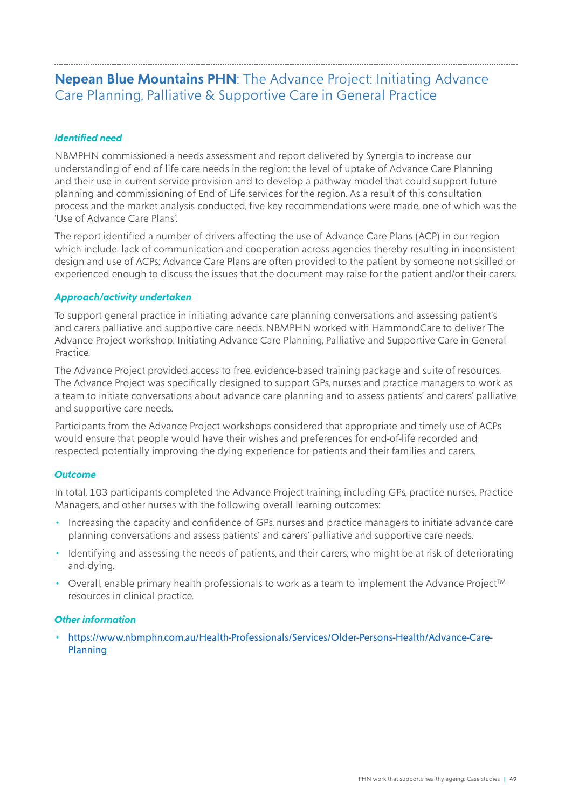## <span id="page-48-0"></span>**Nepean Blue Mountains PHN**: The Advance Project: Initiating Advance Care Planning, Palliative & Supportive Care in General Practice

#### *Identified need*

NBMPHN commissioned a needs assessment and [report](https://www.nbmphn.com.au/getattachment/889a4267-8d47-4b4a-8b77-bb49004a7978/attachment.aspx) delivered by Synergia to increase our understanding of end of life care needs in the region: the level of uptake of Advance Care Planning and their use in current service provision and to develop a pathway model that could support future planning and commissioning of End of Life services for the region. As a result of this consultation process and the market analysis conducted, five key recommendations were made, one of which was the 'Use of Advance Care Plans'.

The report identified a number of drivers affecting the use of Advance Care Plans (ACP) in our region which include: lack of communication and cooperation across agencies thereby resulting in inconsistent design and use of ACPs; Advance Care Plans are often provided to the patient by someone not skilled or experienced enough to discuss the issues that the document may raise for the patient and/or their carers.

#### *Approach/activity undertaken*

To support general practice in initiating advance care planning conversations and assessing patient's and carers palliative and supportive care needs, NBMPHN worked with HammondCare to deliver The Advance Project workshop: Initiating Advance Care Planning, Palliative and Supportive Care in General Practice.

[The Advance Project](https://www.hammond.com.au/services/palliative-centre/the-advance-project) provided access to free, evidence-based training package and suite of resources. The Advance Project was specifically designed to support GPs, nurses and practice managers to work as a team to initiate conversations about advance care planning and to assess patients' and carers' palliative and supportive care needs.

Participants from the Advance Project workshops considered that appropriate and timely use of ACPs would ensure that people would have their wishes and preferences for end-of-life recorded and respected, potentially improving the dying experience for patients and their families and carers.

#### *Outcome*

In total, 103 participants completed the Advance Project training, including GPs, practice nurses, Practice Managers, and other nurses with the following overall learning outcomes:

- Increasing the capacity and confidence of GPs, nurses and practice managers to initiate advance care planning conversations and assess patients' and carers' palliative and supportive care needs.
- Identifying and assessing the needs of patients, and their carers, who might be at risk of deteriorating and dying.
- Overall, enable primary health professionals to work as a team to implement the Advance Project<sup>TM</sup> resources in clinical practice.

#### *Other information*

• [https://www.nbmphn.com.au/Health-Professionals/Services/Older-Persons-Health/Advance-Care-](https://www.nbmphn.com.au/Health-Professionals/Services/Older-Persons-Health/Advance-Care-Planning)[Planning](https://www.nbmphn.com.au/Health-Professionals/Services/Older-Persons-Health/Advance-Care-Planning)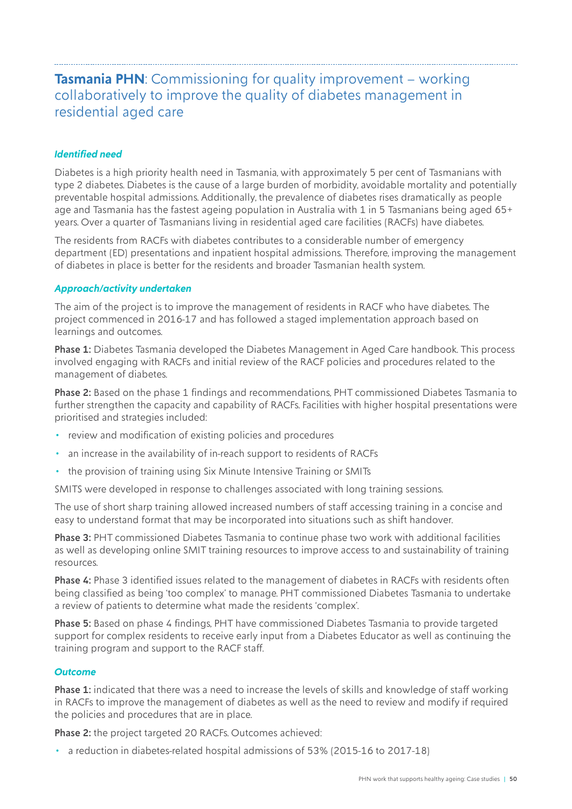## <span id="page-49-0"></span>**Tasmania PHN**: Commissioning for quality improvement – working collaboratively to improve the quality of diabetes management in residential aged care

#### *Identified need*

Diabetes is a high priority health need in Tasmania, with approximately 5 per cent of Tasmanians with type 2 diabetes. Diabetes is the cause of a large burden of morbidity, avoidable mortality and potentially preventable hospital admissions. Additionally, the prevalence of diabetes rises dramatically as people age and Tasmania has the fastest ageing population in Australia with 1 in 5 Tasmanians being aged  $65<sup>+</sup>$ years. Over a quarter of Tasmanians living in residential aged care facilities (RACFs) have diabetes.

The residents from RACFs with diabetes contributes to a considerable number of emergency department (ED) presentations and inpatient hospital admissions. Therefore, improving the management of diabetes in place is better for the residents and broader Tasmanian health system.

#### *Approach/activity undertaken*

The aim of the project is to improve the management of residents in RACF who have diabetes. The project commenced in 2016-17 and has followed a staged implementation approach based on learnings and outcomes.

Phase 1: Diabetes Tasmania developed the Diabetes Management in Aged Care handbook. This process involved engaging with RACFs and initial review of the RACF policies and procedures related to the management of diabetes.

Phase 2: Based on the phase 1 findings and recommendations, PHT commissioned Diabetes Tasmania to further strengthen the capacity and capability of RACFs. Facilities with higher hospital presentations were prioritised and strategies included:

- review and modification of existing policies and procedures
- an increase in the availability of in-reach support to residents of RACFs
- the provision of training using Six Minute Intensive Training or SMITs

SMITS were developed in response to challenges associated with long training sessions.

The use of short sharp training allowed increased numbers of staff accessing training in a concise and easy to understand format that may be incorporated into situations such as shift handover.

Phase 3: PHT commissioned Diabetes Tasmania to continue phase two work with additional facilities as well as developing online SMIT training resources to improve access to and sustainability of training resources.

Phase 4: Phase 3 identified issues related to the management of diabetes in RACFs with residents often being classified as being 'too complex' to manage. PHT commissioned Diabetes Tasmania to undertake a review of patients to determine what made the residents 'complex'.

Phase 5: Based on phase 4 findings, PHT have commissioned Diabetes Tasmania to provide targeted support for complex residents to receive early input from a Diabetes Educator as well as continuing the training program and support to the RACF staff.

#### *Outcome*

Phase 1: indicated that there was a need to increase the levels of skills and knowledge of staff working in RACFs to improve the management of diabetes as well as the need to review and modify if required the policies and procedures that are in place.

Phase 2: the project targeted 20 RACFs. Outcomes achieved:

• a reduction in diabetes-related hospital admissions of 53% (2015-16 to 2017-18)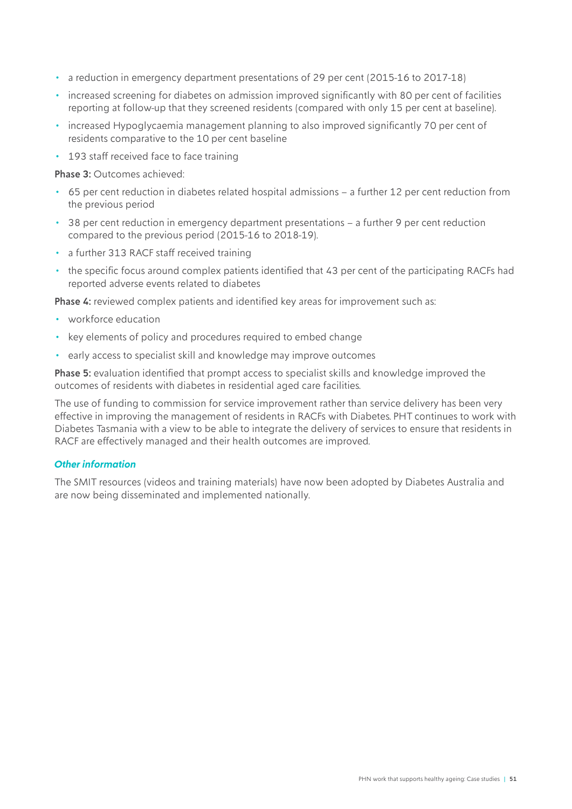- a reduction in emergency department presentations of 29 per cent (2015-16 to 2017-18)
- increased screening for diabetes on admission improved significantly with 80 per cent of facilities reporting at follow-up that they screened residents (compared with only 15 per cent at baseline).
- increased Hypoglycaemia management planning to also improved significantly 70 per cent of residents comparative to the 10 per cent baseline
- 193 staff received face to face training

Phase 3: Outcomes achieved:

- 65 per cent reduction in diabetes related hospital admissions a further 12 per cent reduction from the previous period
- 38 per cent reduction in emergency department presentations a further 9 per cent reduction compared to the previous period (2015-16 to 2018-19).
- a further 313 RACF staff received training
- the specific focus around complex patients identified that 43 per cent of the participating RACFs had reported adverse events related to diabetes

Phase 4: reviewed complex patients and identified key areas for improvement such as:

- workforce education
- key elements of policy and procedures required to embed change
- early access to specialist skill and knowledge may improve outcomes

Phase 5: evaluation identified that prompt access to specialist skills and knowledge improved the outcomes of residents with diabetes in residential aged care facilities.

The use of funding to commission for service improvement rather than service delivery has been very effective in improving the management of residents in RACFs with Diabetes. PHT continues to work with Diabetes Tasmania with a view to be able to integrate the delivery of services to ensure that residents in RACF are effectively managed and their health outcomes are improved.

#### *Other information*

The SMIT resources (videos and training materials) have now been adopted by Diabetes Australia and are now being disseminated and implemented nationally.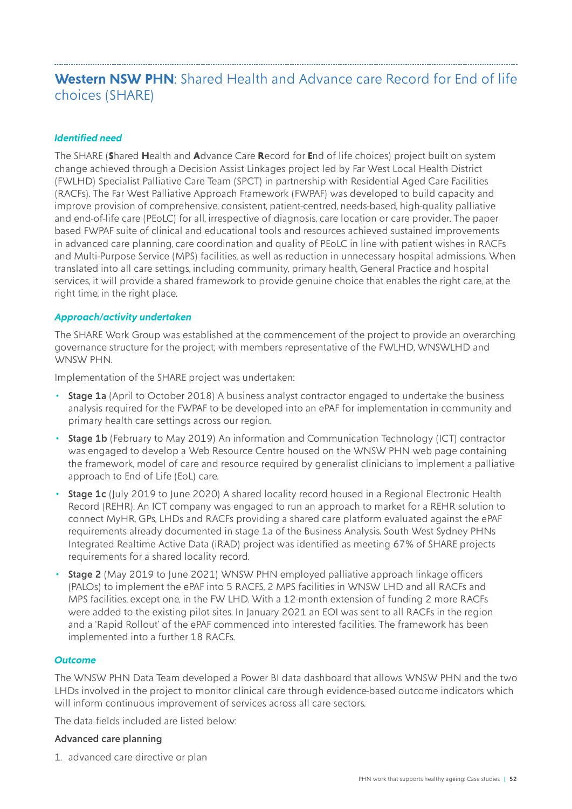## <span id="page-51-0"></span>**Western NSW PHN**: Shared Health and Advance care Record for End of life choices (SHARE)

#### *Identified need*

The SHARE (**S**hared **H**ealth and **A**dvance Care **R**ecord for **E**nd of life choices) project built on system change achieved through a Decision Assist Linkages project led by Far West Local Health District (FWLHD) Specialist Palliative Care Team (SPCT) in partnership with Residential Aged Care Facilities (RACFs). The Far West Palliative Approach Framework (FWPAF) was developed to build capacity and improve provision of comprehensive, consistent, patient-centred, needs-based, high-quality palliative and end-of-life care (PEoLC) for all, irrespective of diagnosis, care location or care provider. The paper based FWPAF suite of clinical and educational tools and resources achieved sustained improvements in advanced care planning, care coordination and quality of PEoLC in line with patient wishes in RACFs and Multi-Purpose Service (MPS) facilities, as well as reduction in unnecessary hospital admissions. When translated into all care settings, including community, primary health, General Practice and hospital services, it will provide a shared framework to provide genuine choice that enables the right care, at the right time, in the right place.

#### *Approach/activity undertaken*

The SHARE Work Group was established at the commencement of the project to provide an overarching governance structure for the project; with members representative of the FWLHD, WNSWLHD and WNSW PHN.

Implementation of the SHARE project was undertaken:

- Stage 1a (April to October 2018) A business analyst contractor engaged to undertake the business analysis required for the FWPAF to be developed into an ePAF for implementation in community and primary health care settings across our region.
- Stage 1b (February to May 2019) An information and Communication Technology (ICT) contractor was engaged to develop a Web Resource Centre housed on the WNSW PHN web page containing the framework, model of care and resource required by generalist clinicians to implement a palliative approach to End of Life (EoL) care.
- Stage 1c (July 2019 to June 2020) A shared locality record housed in a Regional Electronic Health Record (REHR). An ICT company was engaged to run an approach to market for a REHR solution to connect MyHR, GPs, LHDs and RACFs providing a shared care platform evaluated against the ePAF requirements already documented in stage 1a of the Business Analysis. South West Sydney PHNs Integrated Realtime Active Data (iRAD) project was identified as meeting 67% of SHARE projects requirements for a shared locality record.
- Stage 2 (May 2019 to June 2021) WNSW PHN employed palliative approach linkage officers (PALOs) to implement the ePAF into 5 RACFS, 2 MPS facilities in WNSW LHD and all RACFs and MPS facilities, except one, in the FW LHD. With a 12-month extension of funding 2 more RACFs were added to the existing pilot sites. In January 2021 an EOI was sent to all RACFs in the region and a 'Rapid Rollout' of the ePAF commenced into interested facilities. The framework has been implemented into a further 18 RACFs.

#### *Outcome*

The WNSW PHN Data Team developed a Power BI data dashboard that allows WNSW PHN and the two LHDs involved in the project to monitor clinical care through evidence-based outcome indicators which will inform continuous improvement of services across all care sectors.

The data fields included are listed below:

#### Advanced care planning

1. advanced care directive or plan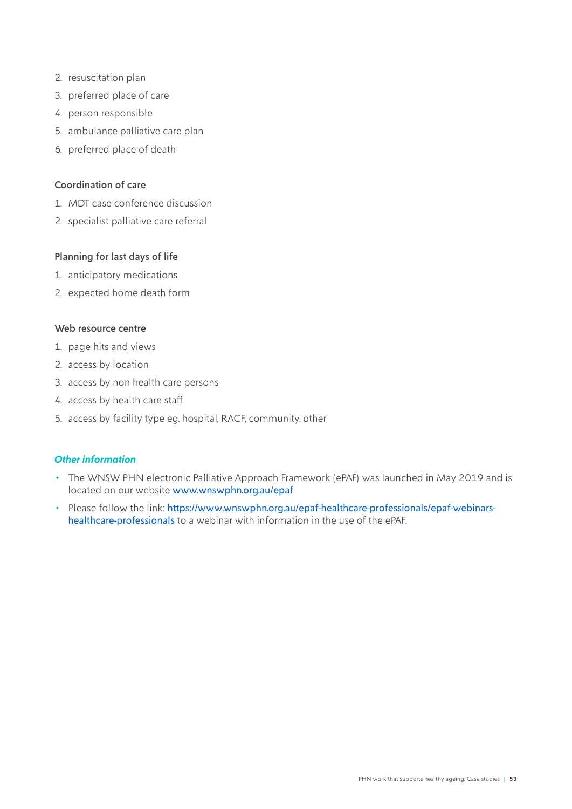- 2. resuscitation plan
- 3. preferred place of care
- 4. person responsible
- 5. ambulance palliative care plan
- 6. preferred place of death

#### Coordination of care

- 1. MDT case conference discussion
- 2. specialist palliative care referral

#### Planning for last days of life

- 1. anticipatory medications
- 2. expected home death form

#### Web resource centre

- 1. page hits and views
- 2. access by location
- 3. access by non health care persons
- 4. access by health care staff
- 5. access by facility type eg. hospital, RACF, community, other

#### *Other information*

- The WNSW PHN electronic Palliative Approach Framework (ePAF) was launched in May 2019 and is located on our website [www.wnswphn.org.au/epaf](http://www.wnswphn.org.au/epaf)
- Please follow the link: [https://www.wnswphn.org.au/epaf-healthcare-professionals/epaf-webinars](https://www.wnswphn.org.au/epaf-healthcare-professionals/epaf-webinars-healthcare-professionals)[healthcare-professionals](https://www.wnswphn.org.au/epaf-healthcare-professionals/epaf-webinars-healthcare-professionals) to a webinar with information in the use of the ePAF.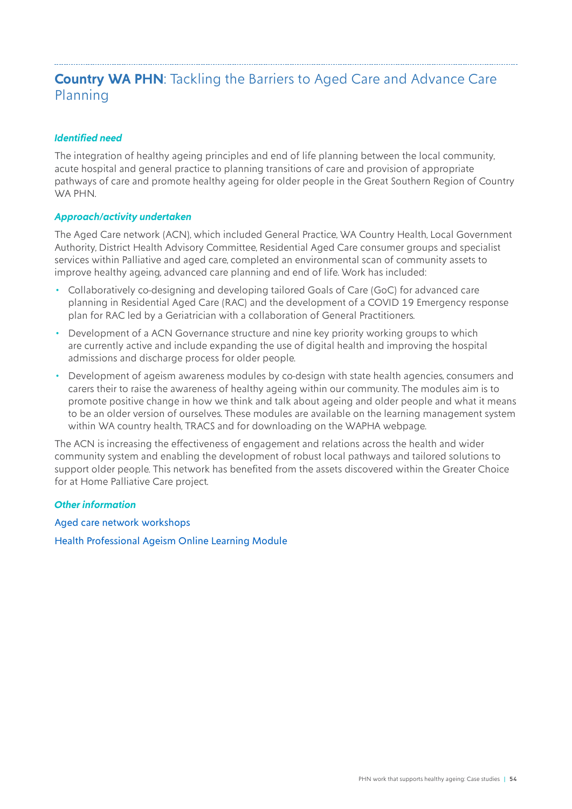# <span id="page-53-0"></span>**Country WA PHN**: Tackling the Barriers to Aged Care and Advance Care Planning

#### *Identified need*

The integration of healthy ageing principles and end of life planning between the local community, acute hospital and general practice to planning transitions of care and provision of appropriate pathways of care and promote healthy ageing for older people in the Great Southern Region of Country WA PHN.

#### *Approach/activity undertaken*

The Aged Care network (ACN), which included General Practice, WA Country Health, Local Government Authority, District Health Advisory Committee, Residential Aged Care consumer groups and specialist services within Palliative and aged care, completed an environmental scan of community assets to improve healthy ageing, advanced care planning and end of life. Work has included:

- Collaboratively co-designing and developing tailored Goals of Care (GoC) for advanced care planning in Residential Aged Care (RAC) and the development of a COVID 19 Emergency response plan for RAC led by a Geriatrician with a collaboration of General Practitioners.
- Development of a ACN Governance structure and nine key priority working groups to which are currently active and include expanding the use of digital health and improving the hospital admissions and discharge process for older people.
- Development of ageism awareness modules by co-design with state health agencies, consumers and carers their to raise the awareness of healthy ageing within our community. The modules aim is to promote positive change in how we think and talk about ageing and older people and what it means to be an older version of ourselves. These modules are available on the learning management system within WA country health, TRACS and for downloading on the WAPHA webpage.

The ACN is increasing the effectiveness of engagement and relations across the health and wider community system and enabling the development of robust local pathways and tailored solutions to support older people. This network has benefited from the assets discovered within the Greater Choice for at Home Palliative Care project.

#### *Other information*

[Aged care network workshops](https://www.youtube.com/watch?v=CDUNqaWEOjE)

[Health Professional Ageism Online Learning Module](https://www.wapha.org.au/health-professionals/ageism-online-learning-module/)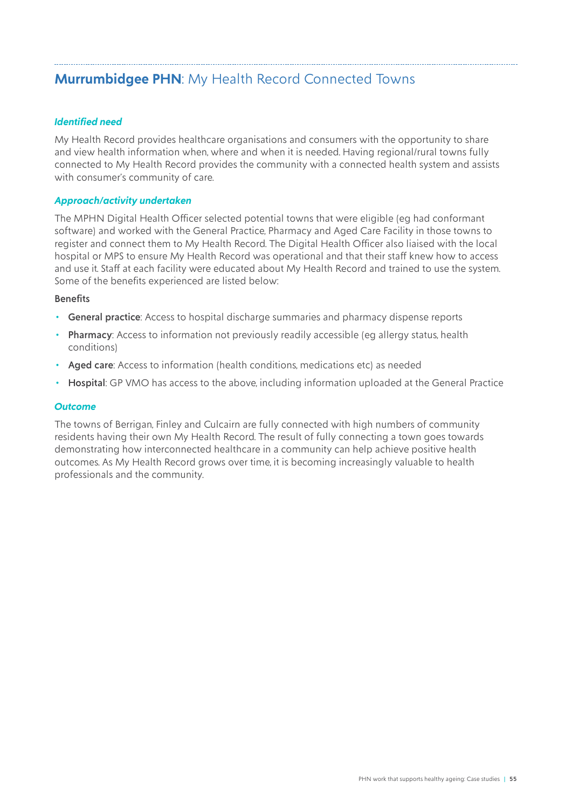# <span id="page-54-0"></span>**Murrumbidgee PHN**: My Health Record Connected Towns

#### *Identified need*

My Health Record provides healthcare organisations and consumers with the opportunity to share and view health information when, where and when it is needed. Having regional/rural towns fully connected to My Health Record provides the community with a connected health system and assists with consumer's community of care.

#### *Approach/activity undertaken*

The MPHN Digital Health Officer selected potential towns that were eligible (eg had conformant software) and worked with the General Practice, Pharmacy and Aged Care Facility in those towns to register and connect them to My Health Record. The Digital Health Officer also liaised with the local hospital or MPS to ensure My Health Record was operational and that their staff knew how to access and use it. Staff at each facility were educated about My Health Record and trained to use the system. Some of the benefits experienced are listed below:

#### **Benefits**

- General practice: Access to hospital discharge summaries and pharmacy dispense reports
- Pharmacy: Access to information not previously readily accessible (eq allergy status, health conditions)
- Aged care: Access to information (health conditions, medications etc) as needed
- Hospital: GP VMO has access to the above, including information uploaded at the General Practice

#### *Outcome*

The towns of Berrigan, Finley and Culcairn are fully connected with high numbers of community residents having their own My Health Record. The result of fully connecting a town goes towards demonstrating how interconnected healthcare in a community can help achieve positive health outcomes. As My Health Record grows over time, it is becoming increasingly valuable to health professionals and the community.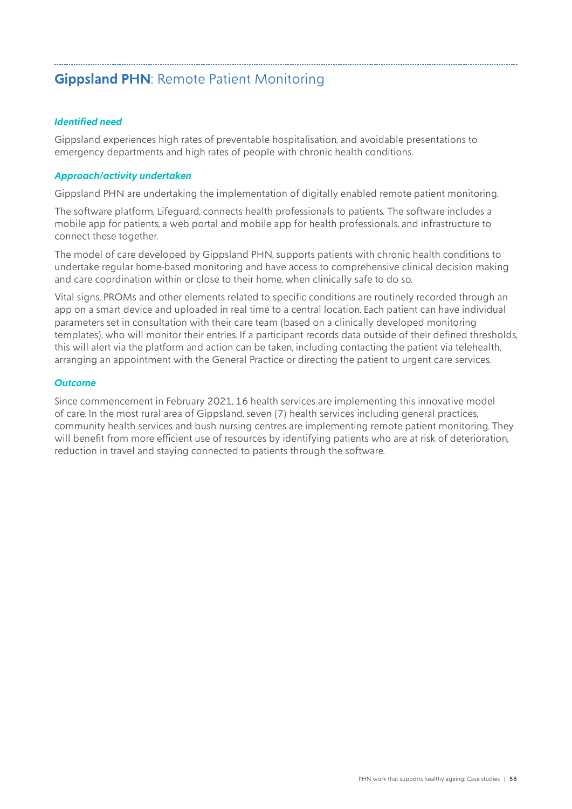# <span id="page-55-0"></span>**Gippsland PHN**: Remote Patient Monitoring

#### *Identified need*

Gippsland experiences high rates of preventable hospitalisation, and avoidable presentations to emergency departments and high rates of people with chronic health conditions.

#### *Approach/activity undertaken*

Gippsland PHN are undertaking the implementation of digitally enabled remote patient monitoring.

The software platform, Lifeguard, connects health professionals to patients. The software includes a mobile app for patients, a web portal and mobile app for health professionals, and infrastructure to connect these together.

The model of care developed by Gippsland PHN, supports patients with chronic health conditions to undertake regular home-based monitoring and have access to comprehensive clinical decision making and care coordination within or close to their home, when clinically safe to do so.

Vital signs, PROMs and other elements related to specific conditions are routinely recorded through an app on a smart device and uploaded in real time to a central location. Each patient can have individual parameters set in consultation with their care team (based on a clinically developed monitoring templates), who will monitor their entries. If a participant records data outside of their defined thresholds, this will alert via the platform and action can be taken, including contacting the patient via telehealth, arranging an appointment with the General Practice or directing the patient to urgent care services.

#### *Outcome*

Since commencement in February 2021, 16 health services are implementing this innovative model of care. In the most rural area of Gippsland, seven (7) health services including general practices, community health services and bush nursing centres are implementing remote patient monitoring. They will benefit from more efficient use of resources by identifying patients who are at risk of deterioration, reduction in travel and staying connected to patients through the software.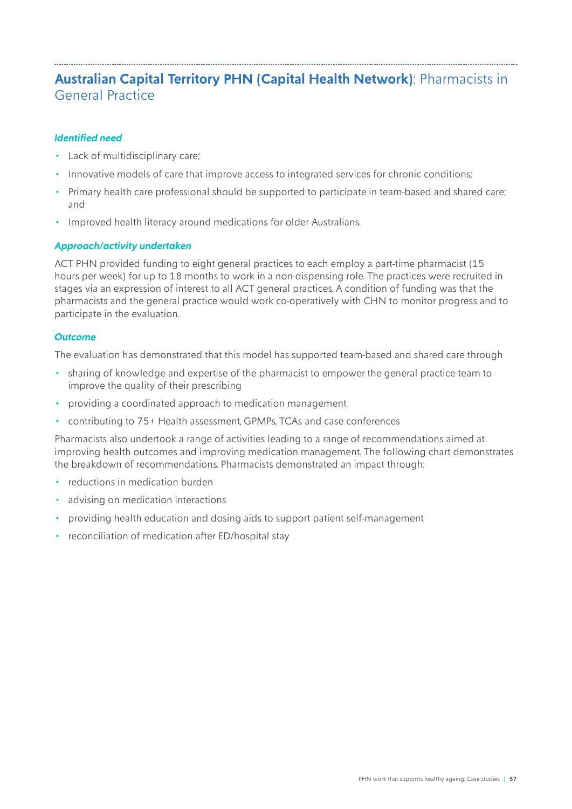# <span id="page-56-0"></span>**Australian Capital Territory PHN (Capital Health Network)**: Pharmacists in General Practice

#### *Identified need*

- Lack of multidisciplinary care;
- Innovative models of care that improve access to integrated services for chronic conditions;
- Primary health care professional should be supported to participate in team-based and shared care; and
- Improved health literacy around medications for older Australians.

#### *Approach/activity undertaken*

ACT PHN provided funding to eight general practices to each employ a part-time pharmacist (15 hours per week) for up to 18 months to work in a non-dispensing role. The practices were recruited in stages via an expression of interest to all ACT general practices. A condition of funding was that the pharmacists and the general practice would work co-operatively with CHN to monitor progress and to participate in the evaluation.

#### *Outcome*

The evaluation has demonstrated that this model has supported team-based and shared care through

- sharing of knowledge and expertise of the pharmacist to empower the general practice team to improve the quality of their prescribing
- providing a coordinated approach to medication management
- contributing to 75+ Health assessment, GPMPs, TCAs and case conferences

Pharmacists also undertook a range of activities leading to a range of recommendations aimed at improving health outcomes and improving medication management. The following chart demonstrates the breakdown of recommendations. Pharmacists demonstrated an impact through:

- reductions in medication burden
- advising on medication interactions
- providing health education and dosing aids to support patient self-management
- reconciliation of medication after ED/hospital stay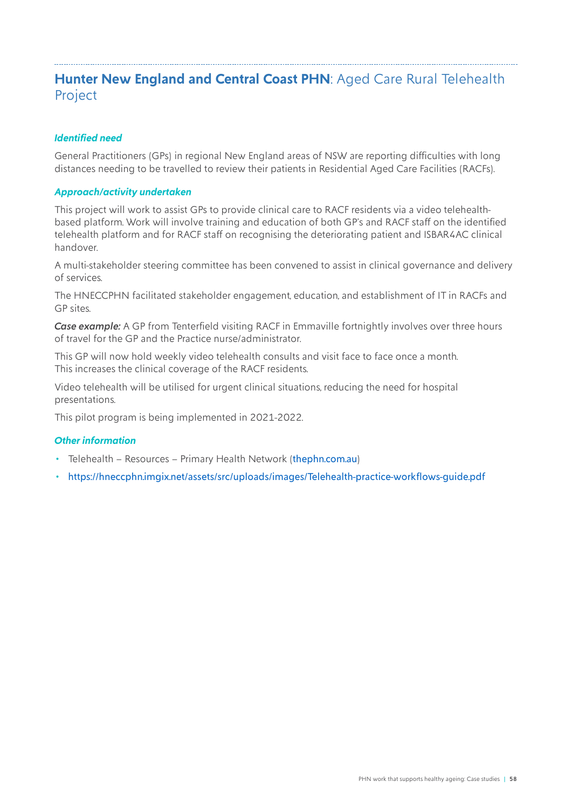### <span id="page-57-0"></span>**Hunter New England and Central Coast PHN**: Aged Care Rural Telehealth Project

#### *Identified need*

General Practitioners (GPs) in regional New England areas of NSW are reporting difficulties with long distances needing to be travelled to review their patients in Residential Aged Care Facilities (RACFs).

#### *Approach/activity undertaken*

This project will work to assist GPs to provide clinical care to RACF residents via a video telehealthbased platform. Work will involve training and education of both GP's and RACF staff on the identified telehealth platform and for RACF staff on recognising the deteriorating patient and ISBAR4AC clinical handover.

A multi-stakeholder steering committee has been convened to assist in clinical governance and delivery of services.

The HNECCPHN facilitated stakeholder engagement, education, and establishment of IT in RACFs and GP sites.

*Case example:* A GP from Tenterfield visiting RACF in Emmaville fortnightly involves over three hours of travel for the GP and the Practice nurse/administrator.

This GP will now hold weekly video telehealth consults and visit face to face once a month. This increases the clinical coverage of the RACF residents.

Video telehealth will be utilised for urgent clinical situations, reducing the need for hospital presentations.

This pilot program is being implemented in 2021-2022.

#### *Other information*

- Telehealth Resources Primary Health Network (thephn.com.au)
- <https://hneccphn.imgix.net/assets/src/uploads/images/Telehealth-practice-workflows-guide.pdf>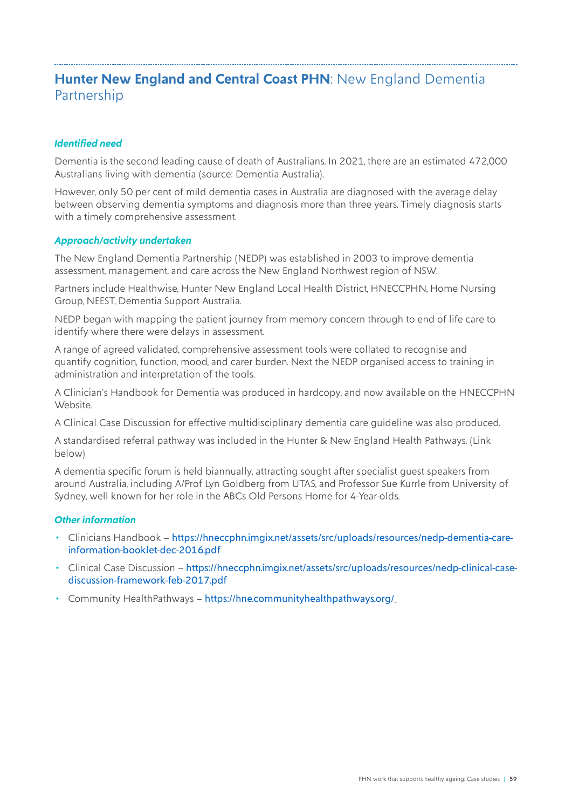## <span id="page-58-0"></span>**Hunter New England and Central Coast PHN: New England Dementia** Partnership

#### *Identified need*

Dementia is the second leading cause of death of Australians. In 2021, there are an estimated 472,000 Australians living with dementia (source: Dementia Australia).

However, only 50 per cent of mild dementia cases in Australia are diagnosed with the average delay between observing dementia symptoms and diagnosis more than three years. Timely diagnosis starts with a timely comprehensive assessment.

#### *Approach/activity undertaken*

The New England Dementia Partnership (NEDP) was established in 2003 to improve dementia assessment, management, and care across the New England Northwest region of NSW.

Partners include Healthwise, Hunter New England Local Health District, HNECCPHN, Home Nursing Group, NEEST, Dementia Support Australia.

NEDP began with mapping the patient journey from memory concern through to end of life care to identify where there were delays in assessment.

A range of agreed validated, comprehensive assessment tools were collated to recognise and quantify cognition, function, mood, and carer burden. Next the NEDP organised access to training in administration and interpretation of the tools.

A Clinician's Handbook for Dementia was produced in hardcopy, and now available on the HNECCPHN Website.

A Clinical Case Discussion for effective multidisciplinary dementia care guideline was also produced.

A standardised referral pathway was included in the Hunter & New England Health Pathways. (Link below)

A dementia specific forum is held biannually, attracting sought after specialist guest speakers from around Australia, including A/Prof Lyn Goldberg from UTAS, and Professor Sue Kurrle from University of Sydney, well known for her role in the ABCs Old Persons Home for 4-Year-olds.

#### *Other information*

- Clinicians Handbook [https://hneccphn.imgix.net/assets/src/uploads/resources/nedp-dementia-care](https://hneccphn.imgix.net/assets/src/uploads/resources/nedp-dementia-care-information-booklet-dec-2016.pdf)[information-booklet-dec-2016.pdf](https://hneccphn.imgix.net/assets/src/uploads/resources/nedp-dementia-care-information-booklet-dec-2016.pdf)
- Clinical Case Discussion [https://hneccphn.imgix.net/assets/src/uploads/resources/nedp-clinical-case](https://hneccphn.imgix.net/assets/src/uploads/resources/nedp-clinical-case-discussion-framework-feb-2017.pdf)[discussion-framework-feb-2017.pdf](https://hneccphn.imgix.net/assets/src/uploads/resources/nedp-clinical-case-discussion-framework-feb-2017.pdf)
- Community HealthPathways <https://hne.communityhealthpathways.org/>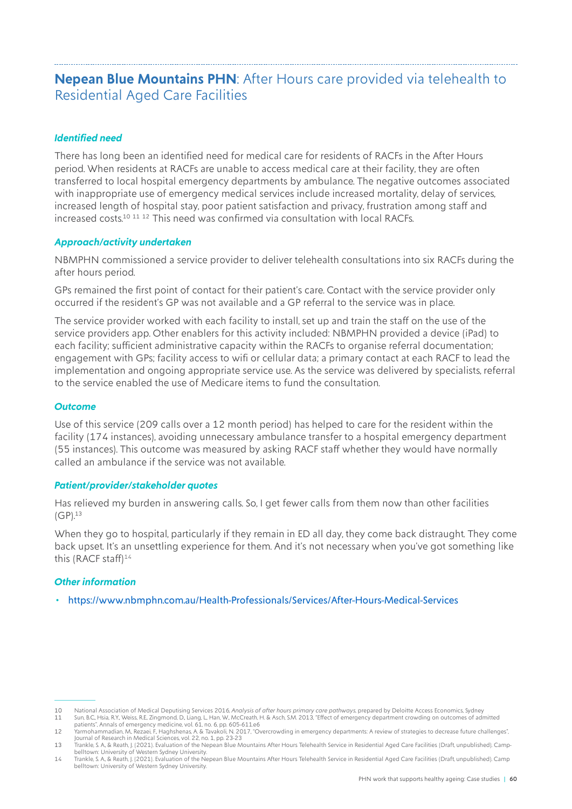### <span id="page-59-0"></span>**Nepean Blue Mountains PHN**: After Hours care provided via telehealth to Residential Aged Care Facilities

#### *Identified need*

There has long been an identified need for medical care for residents of RACFs in the After Hours period. When residents at RACFs are unable to access medical care at their facility, they are often transferred to local hospital emergency departments by ambulance. The negative outcomes associated with inappropriate use of emergency medical services include increased mortality, delay of services, increased length of hospital stay, poor patient satisfaction and privacy, frustration among staff and increased costs.<sup>10 11 12</sup> This need was confirmed via consultation with local RACFs.

#### *Approach/activity undertaken*

NBMPHN commissioned a service provider to deliver telehealth consultations into six RACFs during the after hours period.

GPs remained the first point of contact for their patient's care. Contact with the service provider only occurred if the resident's GP was not available and a GP referral to the service was in place.

The service provider worked with each facility to install, set up and train the staff on the use of the service providers app. Other enablers for this activity included: NBMPHN provided a device (iPad) to each facility; sufficient administrative capacity within the RACFs to organise referral documentation; engagement with GPs; facility access to wifi or cellular data; a primary contact at each RACF to lead the implementation and ongoing appropriate service use. As the service was delivered by specialists, referral to the service enabled the use of Medicare items to fund the consultation.

#### *Outcome*

Use of this service (209 calls over a 12 month period) has helped to care for the resident within the facility (174 instances), avoiding unnecessary ambulance transfer to a hospital emergency department (55 instances). This outcome was measured by asking RACF staff whether they would have normally called an ambulance if the service was not available.

#### *Patient/provider/stakeholder quotes*

Has relieved my burden in answering calls. So, I get fewer calls from them now than other facilities  $(GP).^{13}$ 

When they go to hospital, particularly if they remain in ED all day, they come back distraught. They come back upset. It's an unsettling experience for them. And it's not necessary when you've got something like this (RACF staff) $14$ 

#### *Other information*

• <https://www.nbmphn.com.au/Health-Professionals/Services/After-Hours-Medical-Services>

<sup>10</sup> National Association of Medical Deputising Services 2016, *Analysis of after hours primary care pathways*, prepared by Deloitte Access Economics, Sydney 11 Sun, B.C., Hsia, R.Y., Weiss, R.E., Zingmond, D., Liang, L., Han, W., McCreath, H. & Asch, S.M. 2013, "Effect of emergency department crowding on outcomes of admitted

patients", Annals of emergency medicine, vol. 61, no. 6, pp. 605-611.e6<br>"Yarmohammadian, M., Rezaei, F., Haghshenas, A. & Tavakoli, N. 2017, "Overcrowding in emergency departments: A review of strategies to decrease future

Journal of Research in Medical Sciences, vol. 22, no. 1, pp. 23-23<br>13 Trankle, S. A, & Reath, J. (2021). Evaluation of the Nepean Blue Mountains After Hours Telehealth Service in Residential Aged Care Facilities (Draft, un belltown: University of Western Sydney University.

<sup>14</sup> Trankle, S. A, & Reath, J. (2021). Evaluation of the Nepean Blue Mountains After Hours Telehealth Service in Residential Aged Care Facilities (Draft, unpublished). Camp<br>belltown: University of Western Sydney Univ